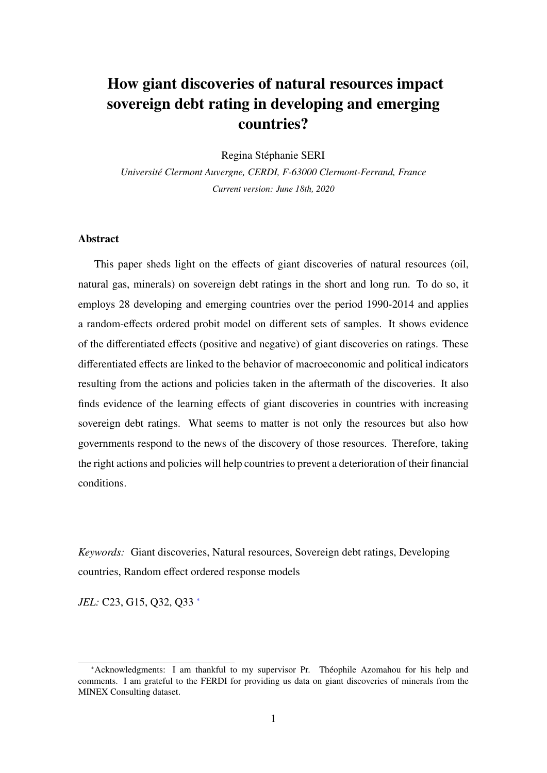# How giant discoveries of natural resources impact sovereign debt rating in developing and emerging countries?

Regina Stephanie SERI ´

*Universit´e Clermont Auvergne, CERDI, F-63000 Clermont-Ferrand, France Current version: June 18th, 2020*

#### **Abstract**

This paper sheds light on the effects of giant discoveries of natural resources (oil, natural gas, minerals) on sovereign debt ratings in the short and long run. To do so, it employs 28 developing and emerging countries over the period 1990-2014 and applies a random-effects ordered probit model on different sets of samples. It shows evidence of the differentiated effects (positive and negative) of giant discoveries on ratings. These differentiated effects are linked to the behavior of macroeconomic and political indicators resulting from the actions and policies taken in the aftermath of the discoveries. It also finds evidence of the learning effects of giant discoveries in countries with increasing sovereign debt ratings. What seems to matter is not only the resources but also how governments respond to the news of the discovery of those resources. Therefore, taking the right actions and policies will help countries to prevent a deterioration of their financial conditions.

*Keywords:* Giant discoveries, Natural resources, Sovereign debt ratings, Developing countries, Random effect ordered response models

*JEL:* C23, G15, Q32, Q33 <sup>[∗](#page-0-0)</sup>

<span id="page-0-0"></span><sup>∗</sup>Acknowledgments: I am thankful to my supervisor Pr. Theophile Azomahou for his help and ´ comments. I am grateful to the FERDI for providing us data on giant discoveries of minerals from the MINEX Consulting dataset.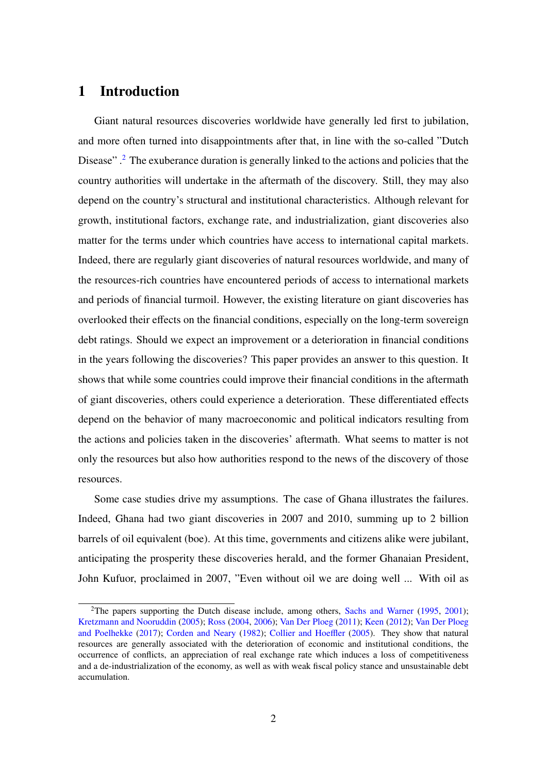### <span id="page-1-1"></span>1 Introduction

Giant natural resources discoveries worldwide have generally led first to jubilation, and more often turned into disappointments after that, in line with the so-called "Dutch Disease".<sup>[2](#page-1-0)</sup> The exuberance duration is generally linked to the actions and policies that the country authorities will undertake in the aftermath of the discovery. Still, they may also depend on the country's structural and institutional characteristics. Although relevant for growth, institutional factors, exchange rate, and industrialization, giant discoveries also matter for the terms under which countries have access to international capital markets. Indeed, there are regularly giant discoveries of natural resources worldwide, and many of the resources-rich countries have encountered periods of access to international markets and periods of financial turmoil. However, the existing literature on giant discoveries has overlooked their effects on the financial conditions, especially on the long-term sovereign debt ratings. Should we expect an improvement or a deterioration in financial conditions in the years following the discoveries? This paper provides an answer to this question. It shows that while some countries could improve their financial conditions in the aftermath of giant discoveries, others could experience a deterioration. These differentiated effects depend on the behavior of many macroeconomic and political indicators resulting from the actions and policies taken in the discoveries' aftermath. What seems to matter is not only the resources but also how authorities respond to the news of the discovery of those resources.

Some case studies drive my assumptions. The case of Ghana illustrates the failures. Indeed, Ghana had two giant discoveries in 2007 and 2010, summing up to 2 billion barrels of oil equivalent (boe). At this time, governments and citizens alike were jubilant, anticipating the prosperity these discoveries herald, and the former Ghanaian President, John Kufuor, proclaimed in 2007, "Even without oil we are doing well ... With oil as

<span id="page-1-0"></span><sup>&</sup>lt;sup>2</sup>The papers supporting the Dutch disease include, among others, [Sachs and Warner](#page-27-0) [\(1995,](#page-27-0) [2001\)](#page-27-1); [Kretzmann and Nooruddin](#page-26-0) [\(2005\)](#page-26-0); [Ross](#page-27-2) [\(2004,](#page-27-2) [2006\)](#page-27-3); [Van Der Ploeg](#page-27-4) [\(2011\)](#page-27-4); [Keen](#page-26-1) [\(2012\)](#page-26-1); [Van Der Ploeg](#page-27-5) [and Poelhekke](#page-27-5) [\(2017\)](#page-27-5); [Corden and Neary](#page-25-0) [\(1982\)](#page-25-0); [Collier and Hoe](#page-25-1)ffler [\(2005\)](#page-25-1). They show that natural resources are generally associated with the deterioration of economic and institutional conditions, the occurrence of conflicts, an appreciation of real exchange rate which induces a loss of competitiveness and a de-industrialization of the economy, as well as with weak fiscal policy stance and unsustainable debt accumulation.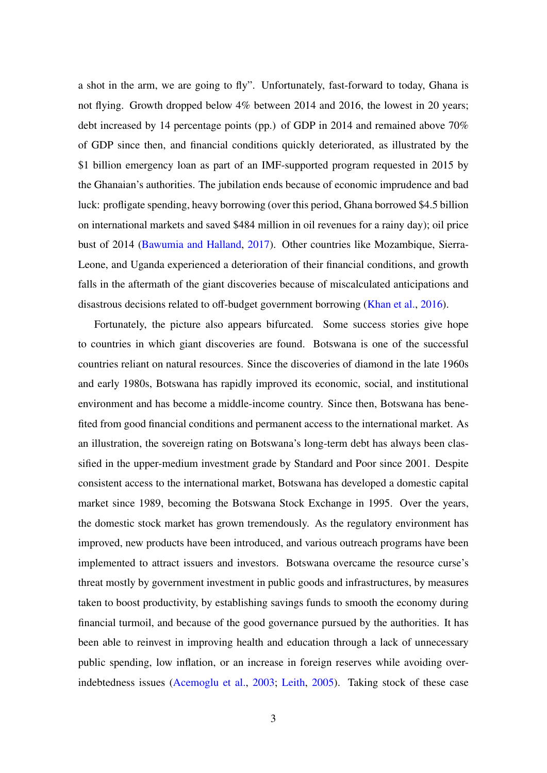a shot in the arm, we are going to fly". Unfortunately, fast-forward to today, Ghana is not flying. Growth dropped below 4% between 2014 and 2016, the lowest in 20 years; debt increased by 14 percentage points (pp.) of GDP in 2014 and remained above 70% of GDP since then, and financial conditions quickly deteriorated, as illustrated by the \$1 billion emergency loan as part of an IMF-supported program requested in 2015 by the Ghanaian's authorities. The jubilation ends because of economic imprudence and bad luck: profligate spending, heavy borrowing (over this period, Ghana borrowed \$4.5 billion on international markets and saved \$484 million in oil revenues for a rainy day); oil price bust of 2014 [\(Bawumia and Halland,](#page-25-2) [2017\)](#page-25-2). Other countries like Mozambique, Sierra-Leone, and Uganda experienced a deterioration of their financial conditions, and growth falls in the aftermath of the giant discoveries because of miscalculated anticipations and disastrous decisions related to off-budget government borrowing [\(Khan et al.,](#page-26-2) [2016\)](#page-26-2).

Fortunately, the picture also appears bifurcated. Some success stories give hope to countries in which giant discoveries are found. Botswana is one of the successful countries reliant on natural resources. Since the discoveries of diamond in the late 1960s and early 1980s, Botswana has rapidly improved its economic, social, and institutional environment and has become a middle-income country. Since then, Botswana has benefited from good financial conditions and permanent access to the international market. As an illustration, the sovereign rating on Botswana's long-term debt has always been classified in the upper-medium investment grade by Standard and Poor since 2001. Despite consistent access to the international market, Botswana has developed a domestic capital market since 1989, becoming the Botswana Stock Exchange in 1995. Over the years, the domestic stock market has grown tremendously. As the regulatory environment has improved, new products have been introduced, and various outreach programs have been implemented to attract issuers and investors. Botswana overcame the resource curse's threat mostly by government investment in public goods and infrastructures, by measures taken to boost productivity, by establishing savings funds to smooth the economy during financial turmoil, and because of the good governance pursued by the authorities. It has been able to reinvest in improving health and education through a lack of unnecessary public spending, low inflation, or an increase in foreign reserves while avoiding overindebtedness issues [\(Acemoglu et al.,](#page-25-3) [2003;](#page-25-3) [Leith,](#page-26-3) [2005\)](#page-26-3). Taking stock of these case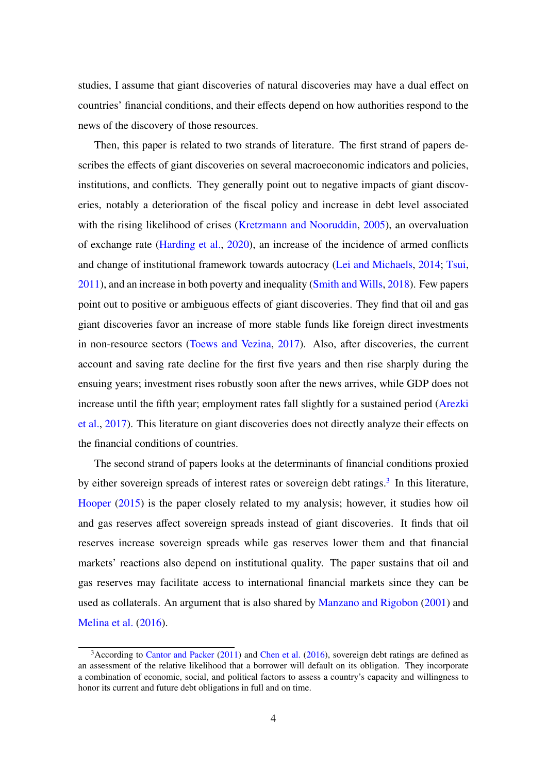studies, I assume that giant discoveries of natural discoveries may have a dual effect on countries' financial conditions, and their effects depend on how authorities respond to the news of the discovery of those resources.

Then, this paper is related to two strands of literature. The first strand of papers describes the effects of giant discoveries on several macroeconomic indicators and policies, institutions, and conflicts. They generally point out to negative impacts of giant discoveries, notably a deterioration of the fiscal policy and increase in debt level associated with the rising likelihood of crises [\(Kretzmann and Nooruddin,](#page-26-0) [2005\)](#page-26-0), an overvaluation of exchange rate [\(Harding et al.,](#page-26-4) [2020\)](#page-26-4), an increase of the incidence of armed conflicts and change of institutional framework towards autocracy [\(Lei and Michaels,](#page-26-5) [2014;](#page-26-5) [Tsui,](#page-27-6) [2011\)](#page-27-6), and an increase in both poverty and inequality [\(Smith and Wills,](#page-27-7) [2018\)](#page-27-7). Few papers point out to positive or ambiguous effects of giant discoveries. They find that oil and gas giant discoveries favor an increase of more stable funds like foreign direct investments in non-resource sectors [\(Toews and Vezina,](#page-27-8) [2017\)](#page-27-8). Also, after discoveries, the current account and saving rate decline for the first five years and then rise sharply during the ensuing years; investment rises robustly soon after the news arrives, while GDP does not increase until the fifth year; employment rates fall slightly for a sustained period [\(Arezki](#page-25-4) [et al.,](#page-25-4) [2017\)](#page-25-4). This literature on giant discoveries does not directly analyze their effects on the financial conditions of countries.

The second strand of papers looks at the determinants of financial conditions proxied by either sovereign spreads of interest rates or sovereign debt ratings.<sup>[3](#page-3-0)</sup> In this literature, [Hooper](#page-26-6) [\(2015\)](#page-26-6) is the paper closely related to my analysis; however, it studies how oil and gas reserves affect sovereign spreads instead of giant discoveries. It finds that oil reserves increase sovereign spreads while gas reserves lower them and that financial markets' reactions also depend on institutional quality. The paper sustains that oil and gas reserves may facilitate access to international financial markets since they can be used as collaterals. An argument that is also shared by [Manzano and Rigobon](#page-26-7) [\(2001\)](#page-26-7) and [Melina et al.](#page-26-8) [\(2016\)](#page-26-8).

<span id="page-3-0"></span><sup>&</sup>lt;sup>3</sup> According to [Cantor and Packer](#page-25-5) [\(2011\)](#page-25-5) and [Chen et al.](#page-25-6) [\(2016\)](#page-25-6), sovereign debt ratings are defined as an assessment of the relative likelihood that a borrower will default on its obligation. They incorporate a combination of economic, social, and political factors to assess a country's capacity and willingness to honor its current and future debt obligations in full and on time.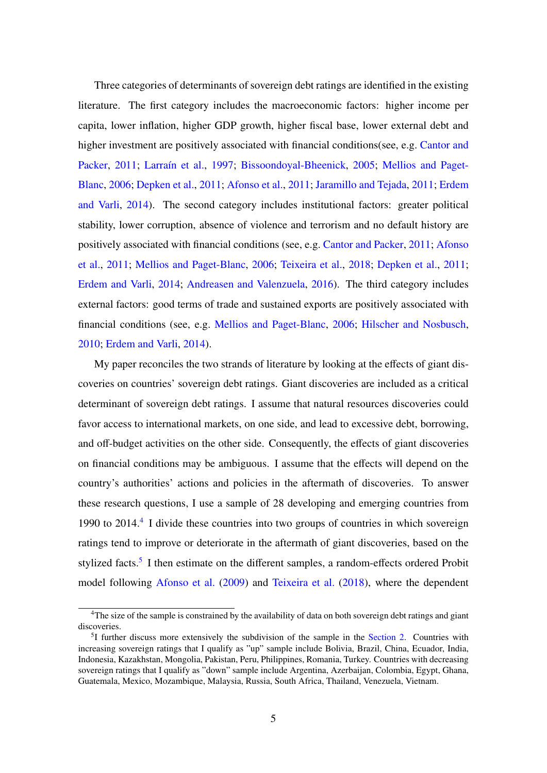Three categories of determinants of sovereign debt ratings are identified in the existing literature. The first category includes the macroeconomic factors: higher income per capita, lower inflation, higher GDP growth, higher fiscal base, lower external debt and higher investment are positively associated with financial conditions(see, e.g. [Cantor and](#page-25-5) [Packer,](#page-25-5) [2011;](#page-25-5) Larraín et al., [1997;](#page-26-9) [Bissoondoyal-Bheenick,](#page-25-7) [2005;](#page-25-7) [Mellios and Paget-](#page-26-10)[Blanc,](#page-26-10) [2006;](#page-26-10) [Depken et al.,](#page-25-8) [2011;](#page-25-8) [Afonso et al.,](#page-25-9) [2011;](#page-25-9) [Jaramillo and Tejada,](#page-26-11) [2011;](#page-26-11) [Erdem](#page-26-12) [and Varli,](#page-26-12) [2014\)](#page-26-12). The second category includes institutional factors: greater political stability, lower corruption, absence of violence and terrorism and no default history are positively associated with financial conditions (see, e.g. [Cantor and Packer,](#page-25-5) [2011;](#page-25-5) [Afonso](#page-25-9) [et al.,](#page-25-9) [2011;](#page-25-9) [Mellios and Paget-Blanc,](#page-26-10) [2006;](#page-26-10) [Teixeira et al.,](#page-27-9) [2018;](#page-27-9) [Depken et al.,](#page-25-8) [2011;](#page-25-8) [Erdem and Varli,](#page-26-12) [2014;](#page-26-12) [Andreasen and Valenzuela,](#page-25-10) [2016\)](#page-25-10). The third category includes external factors: good terms of trade and sustained exports are positively associated with financial conditions (see, e.g. [Mellios and Paget-Blanc,](#page-26-10) [2006;](#page-26-10) [Hilscher and Nosbusch,](#page-26-13) [2010;](#page-26-13) [Erdem and Varli,](#page-26-12) [2014\)](#page-26-12).

My paper reconciles the two strands of literature by looking at the effects of giant discoveries on countries' sovereign debt ratings. Giant discoveries are included as a critical determinant of sovereign debt ratings. I assume that natural resources discoveries could favor access to international markets, on one side, and lead to excessive debt, borrowing, and off-budget activities on the other side. Consequently, the effects of giant discoveries on financial conditions may be ambiguous. I assume that the effects will depend on the country's authorities' actions and policies in the aftermath of discoveries. To answer these research questions, I use a sample of 28 developing and emerging countries from 1990 to 201[4](#page-4-0).<sup>4</sup> I divide these countries into two groups of countries in which sovereign ratings tend to improve or deteriorate in the aftermath of giant discoveries, based on the stylized facts.<sup>[5](#page-4-1)</sup> I then estimate on the different samples, a random-effects ordered Probit model following [Afonso et al.](#page-25-11) [\(2009\)](#page-25-11) and [Teixeira et al.](#page-27-9) [\(2018\)](#page-27-9), where the dependent

<span id="page-4-0"></span><sup>&</sup>lt;sup>4</sup>The size of the sample is constrained by the availability of data on both sovereign debt ratings and giant discoveries.

<span id="page-4-1"></span><sup>&</sup>lt;sup>5</sup>I further discuss more extensively the subdivision of the sample in the [Section 2.](#page-6-0) Countries with increasing sovereign ratings that I qualify as "up" sample include Bolivia, Brazil, China, Ecuador, India, Indonesia, Kazakhstan, Mongolia, Pakistan, Peru, Philippines, Romania, Turkey. Countries with decreasing sovereign ratings that I qualify as "down" sample include Argentina, Azerbaijan, Colombia, Egypt, Ghana, Guatemala, Mexico, Mozambique, Malaysia, Russia, South Africa, Thailand, Venezuela, Vietnam.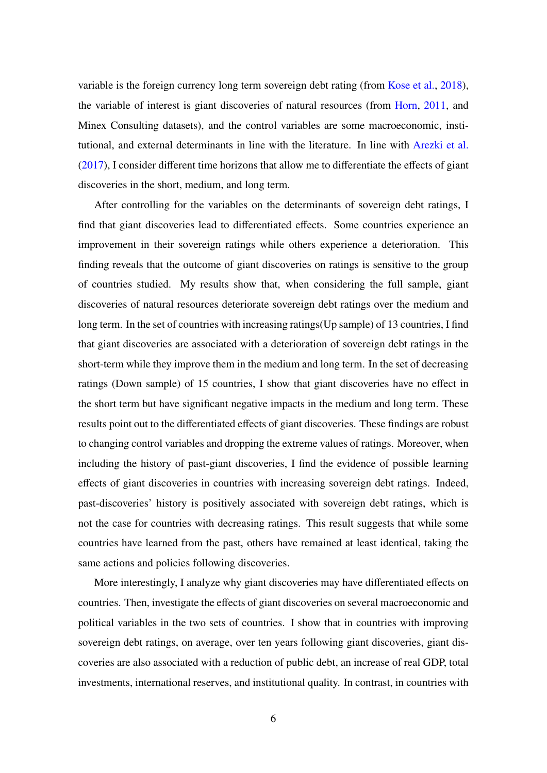variable is the foreign currency long term sovereign debt rating (from [Kose et al.,](#page-26-14) [2018\)](#page-26-14), the variable of interest is giant discoveries of natural resources (from [Horn,](#page-26-15) [2011,](#page-26-15) and Minex Consulting datasets), and the control variables are some macroeconomic, institutional, and external determinants in line with the literature. In line with [Arezki et al.](#page-25-4) [\(2017\)](#page-25-4), I consider different time horizons that allow me to differentiate the effects of giant discoveries in the short, medium, and long term.

After controlling for the variables on the determinants of sovereign debt ratings, I find that giant discoveries lead to differentiated effects. Some countries experience an improvement in their sovereign ratings while others experience a deterioration. This finding reveals that the outcome of giant discoveries on ratings is sensitive to the group of countries studied. My results show that, when considering the full sample, giant discoveries of natural resources deteriorate sovereign debt ratings over the medium and long term. In the set of countries with increasing ratings(Up sample) of 13 countries, I find that giant discoveries are associated with a deterioration of sovereign debt ratings in the short-term while they improve them in the medium and long term. In the set of decreasing ratings (Down sample) of 15 countries, I show that giant discoveries have no effect in the short term but have significant negative impacts in the medium and long term. These results point out to the differentiated effects of giant discoveries. These findings are robust to changing control variables and dropping the extreme values of ratings. Moreover, when including the history of past-giant discoveries, I find the evidence of possible learning effects of giant discoveries in countries with increasing sovereign debt ratings. Indeed, past-discoveries' history is positively associated with sovereign debt ratings, which is not the case for countries with decreasing ratings. This result suggests that while some countries have learned from the past, others have remained at least identical, taking the same actions and policies following discoveries.

More interestingly, I analyze why giant discoveries may have differentiated effects on countries. Then, investigate the effects of giant discoveries on several macroeconomic and political variables in the two sets of countries. I show that in countries with improving sovereign debt ratings, on average, over ten years following giant discoveries, giant discoveries are also associated with a reduction of public debt, an increase of real GDP, total investments, international reserves, and institutional quality. In contrast, in countries with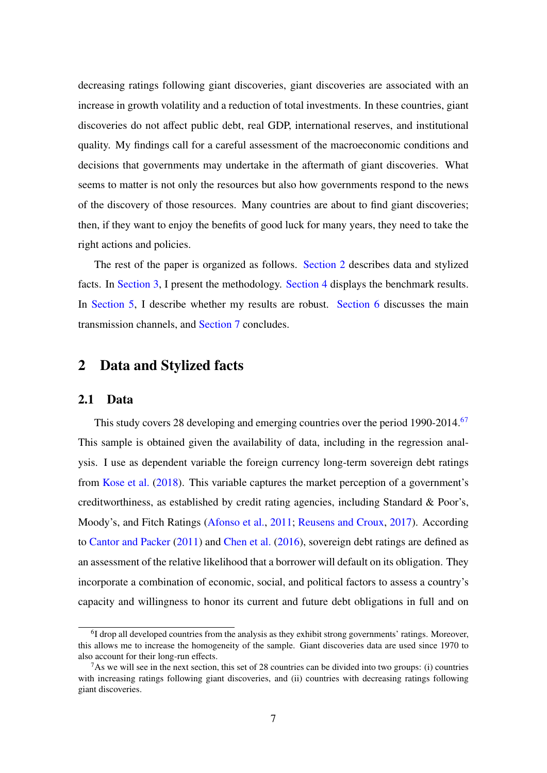decreasing ratings following giant discoveries, giant discoveries are associated with an increase in growth volatility and a reduction of total investments. In these countries, giant discoveries do not affect public debt, real GDP, international reserves, and institutional quality. My findings call for a careful assessment of the macroeconomic conditions and decisions that governments may undertake in the aftermath of giant discoveries. What seems to matter is not only the resources but also how governments respond to the news of the discovery of those resources. Many countries are about to find giant discoveries; then, if they want to enjoy the benefits of good luck for many years, they need to take the right actions and policies.

The rest of the paper is organized as follows. [Section 2](#page-6-0) describes data and stylized facts. In [Section 3,](#page-10-0) I present the methodology. [Section 4](#page-12-0) displays the benchmark results. In [Section 5,](#page-18-0) I describe whether my results are robust. [Section 6](#page-19-0) discusses the main transmission channels, and [Section 7](#page-23-0) concludes.

## <span id="page-6-0"></span>2 Data and Stylized facts

#### 2.1 Data

This study covers 28 developing and emerging countries over the period 1990-2014.<sup>[6](#page-6-1)[7](#page-6-2)</sup> This sample is obtained given the availability of data, including in the regression analysis. I use as dependent variable the foreign currency long-term sovereign debt ratings from [Kose et al.](#page-26-14) [\(2018\)](#page-26-14). This variable captures the market perception of a government's creditworthiness, as established by credit rating agencies, including Standard & Poor's, Moody's, and Fitch Ratings [\(Afonso et al.,](#page-25-9) [2011;](#page-25-9) [Reusens and Croux,](#page-27-10) [2017\)](#page-27-10). According to [Cantor and Packer](#page-25-5) [\(2011\)](#page-25-5) and [Chen et al.](#page-25-6) [\(2016\)](#page-25-6), sovereign debt ratings are defined as an assessment of the relative likelihood that a borrower will default on its obligation. They incorporate a combination of economic, social, and political factors to assess a country's capacity and willingness to honor its current and future debt obligations in full and on

<span id="page-6-1"></span><sup>&</sup>lt;sup>6</sup>I drop all developed countries from the analysis as they exhibit strong governments' ratings. Moreover, this allows me to increase the homogeneity of the sample. Giant discoveries data are used since 1970 to also account for their long-run effects.

<span id="page-6-2"></span> $7$ As we will see in the next section, this set of 28 countries can be divided into two groups: (i) countries with increasing ratings following giant discoveries, and (ii) countries with decreasing ratings following giant discoveries.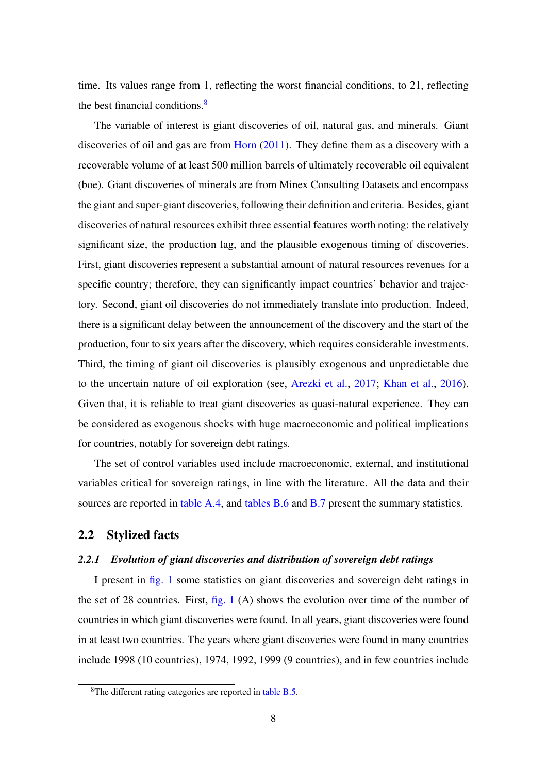time. Its values range from 1, reflecting the worst financial conditions, to 21, reflecting the best financial conditions.<sup>[8](#page-7-0)</sup>

The variable of interest is giant discoveries of oil, natural gas, and minerals. Giant discoveries of oil and gas are from [Horn](#page-26-15) [\(2011\)](#page-26-15). They define them as a discovery with a recoverable volume of at least 500 million barrels of ultimately recoverable oil equivalent (boe). Giant discoveries of minerals are from Minex Consulting Datasets and encompass the giant and super-giant discoveries, following their definition and criteria. Besides, giant discoveries of natural resources exhibit three essential features worth noting: the relatively significant size, the production lag, and the plausible exogenous timing of discoveries. First, giant discoveries represent a substantial amount of natural resources revenues for a specific country; therefore, they can significantly impact countries' behavior and trajectory. Second, giant oil discoveries do not immediately translate into production. Indeed, there is a significant delay between the announcement of the discovery and the start of the production, four to six years after the discovery, which requires considerable investments. Third, the timing of giant oil discoveries is plausibly exogenous and unpredictable due to the uncertain nature of oil exploration (see, [Arezki et al.,](#page-25-4) [2017;](#page-25-4) [Khan et al.,](#page-26-2) [2016\)](#page-26-2). Given that, it is reliable to treat giant discoveries as quasi-natural experience. They can be considered as exogenous shocks with huge macroeconomic and political implications for countries, notably for sovereign debt ratings.

The set of control variables used include macroeconomic, external, and institutional variables critical for sovereign ratings, in line with the literature. All the data and their sources are reported in [table A.4,](#page-28-0) and [tables B.6](#page-30-0) and [B.7](#page-30-1) present the summary statistics.

#### <span id="page-7-1"></span>2.2 Stylized facts

#### *2.2.1 Evolution of giant discoveries and distribution of sovereign debt ratings*

I present in [fig. 1](#page-8-0) some statistics on giant discoveries and sovereign debt ratings in the set of 28 countries. First,  $fig. 1 (A)$  $fig. 1 (A)$  shows the evolution over time of the number of countries in which giant discoveries were found. In all years, giant discoveries were found in at least two countries. The years where giant discoveries were found in many countries include 1998 (10 countries), 1974, 1992, 1999 (9 countries), and in few countries include

<span id="page-7-0"></span><sup>8</sup>The different rating categories are reported in [table B.5.](#page-29-0)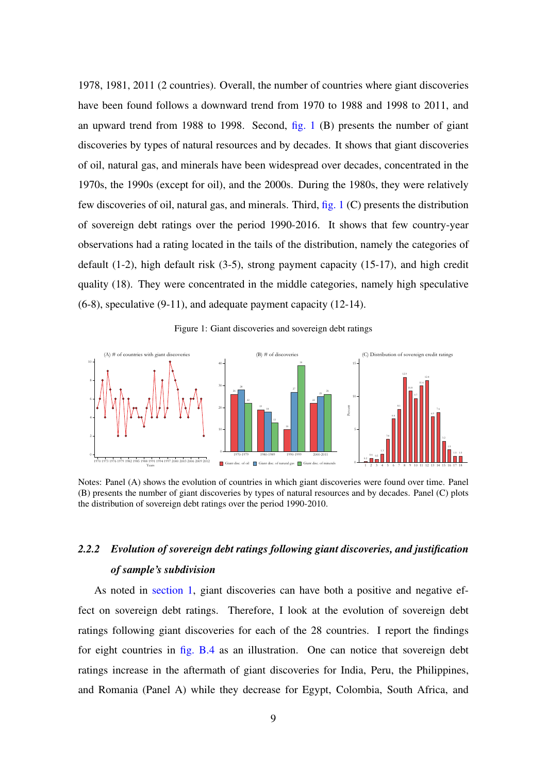1978, 1981, 2011 (2 countries). Overall, the number of countries where giant discoveries have been found follows a downward trend from 1970 to 1988 and 1998 to 2011, and an upward trend from 1988 to 1998. Second, [fig. 1](#page-8-0) (B) presents the number of giant discoveries by types of natural resources and by decades. It shows that giant discoveries of oil, natural gas, and minerals have been widespread over decades, concentrated in the 1970s, the 1990s (except for oil), and the 2000s. During the 1980s, they were relatively few discoveries of oil, natural gas, and minerals. Third, [fig. 1](#page-8-0) (C) presents the distribution of sovereign debt ratings over the period 1990-2016. It shows that few country-year observations had a rating located in the tails of the distribution, namely the categories of default (1-2), high default risk (3-5), strong payment capacity (15-17), and high credit quality (18). They were concentrated in the middle categories, namely high speculative (6-8), speculative (9-11), and adequate payment capacity (12-14).



<span id="page-8-0"></span>

Notes: Panel (A) shows the evolution of countries in which giant discoveries were found over time. Panel (B) presents the number of giant discoveries by types of natural resources and by decades. Panel (C) plots the distribution of sovereign debt ratings over the period 1990-2010.

## *2.2.2 Evolution of sovereign debt ratings following giant discoveries, and justification of sample's subdivision*

As noted in [section 1,](#page-1-1) giant discoveries can have both a positive and negative effect on sovereign debt ratings. Therefore, I look at the evolution of sovereign debt ratings following giant discoveries for each of the 28 countries. I report the findings for eight countries in [fig. B.4](#page-29-1) as an illustration. One can notice that sovereign debt ratings increase in the aftermath of giant discoveries for India, Peru, the Philippines, and Romania (Panel A) while they decrease for Egypt, Colombia, South Africa, and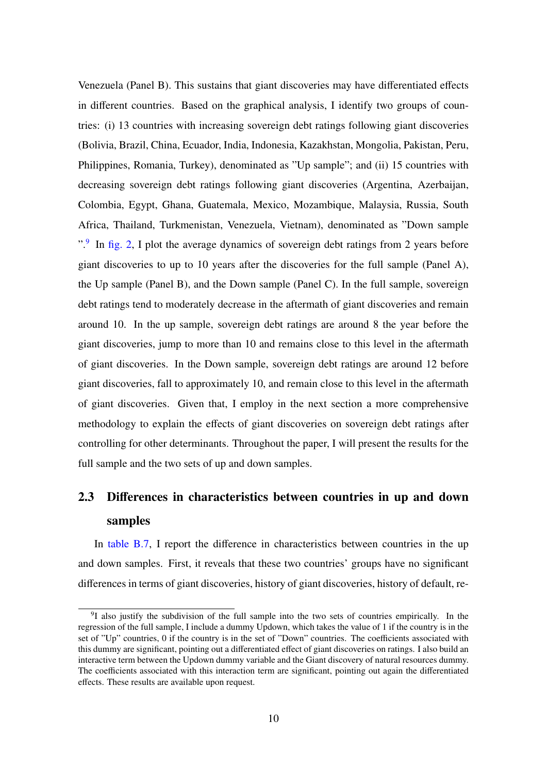Venezuela (Panel B). This sustains that giant discoveries may have differentiated effects in different countries. Based on the graphical analysis, I identify two groups of countries: (i) 13 countries with increasing sovereign debt ratings following giant discoveries (Bolivia, Brazil, China, Ecuador, India, Indonesia, Kazakhstan, Mongolia, Pakistan, Peru, Philippines, Romania, Turkey), denominated as "Up sample"; and (ii) 15 countries with decreasing sovereign debt ratings following giant discoveries (Argentina, Azerbaijan, Colombia, Egypt, Ghana, Guatemala, Mexico, Mozambique, Malaysia, Russia, South Africa, Thailand, Turkmenistan, Venezuela, Vietnam), denominated as "Down sample ".<sup>[9](#page-9-0)</sup> In [fig. 2,](#page-10-1) I plot the average dynamics of sovereign debt ratings from 2 years before giant discoveries to up to 10 years after the discoveries for the full sample (Panel A), the Up sample (Panel B), and the Down sample (Panel C). In the full sample, sovereign debt ratings tend to moderately decrease in the aftermath of giant discoveries and remain around 10. In the up sample, sovereign debt ratings are around 8 the year before the giant discoveries, jump to more than 10 and remains close to this level in the aftermath of giant discoveries. In the Down sample, sovereign debt ratings are around 12 before giant discoveries, fall to approximately 10, and remain close to this level in the aftermath of giant discoveries. Given that, I employ in the next section a more comprehensive methodology to explain the effects of giant discoveries on sovereign debt ratings after controlling for other determinants. Throughout the paper, I will present the results for the full sample and the two sets of up and down samples.

## 2.3 Differences in characteristics between countries in up and down samples

In [table B.7,](#page-30-1) I report the difference in characteristics between countries in the up and down samples. First, it reveals that these two countries' groups have no significant differences in terms of giant discoveries, history of giant discoveries, history of default, re-

<span id="page-9-0"></span><sup>&</sup>lt;sup>9</sup>I also justify the subdivision of the full sample into the two sets of countries empirically. In the regression of the full sample, I include a dummy Updown, which takes the value of 1 if the country is in the set of "Up" countries, 0 if the country is in the set of "Down" countries. The coefficients associated with this dummy are significant, pointing out a differentiated effect of giant discoveries on ratings. I also build an interactive term between the Updown dummy variable and the Giant discovery of natural resources dummy. The coefficients associated with this interaction term are significant, pointing out again the differentiated effects. These results are available upon request.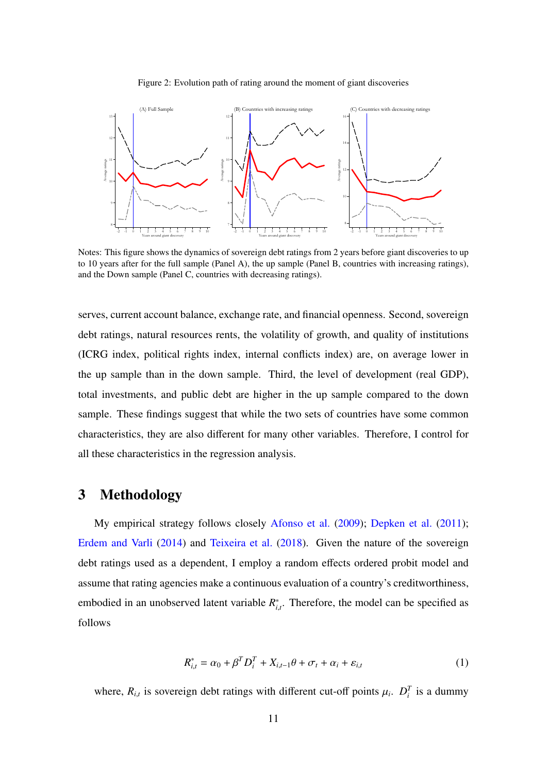<span id="page-10-1"></span>

Figure 2: Evolution path of rating around the moment of giant discoveries

Notes: This figure shows the dynamics of sovereign debt ratings from 2 years before giant discoveries to up to 10 years after for the full sample (Panel A), the up sample (Panel B, countries with increasing ratings), and the Down sample (Panel C, countries with decreasing ratings).

serves, current account balance, exchange rate, and financial openness. Second, sovereign debt ratings, natural resources rents, the volatility of growth, and quality of institutions (ICRG index, political rights index, internal conflicts index) are, on average lower in the up sample than in the down sample. Third, the level of development (real GDP), total investments, and public debt are higher in the up sample compared to the down sample. These findings suggest that while the two sets of countries have some common characteristics, they are also different for many other variables. Therefore, I control for all these characteristics in the regression analysis.

## <span id="page-10-0"></span>3 Methodology

My empirical strategy follows closely [Afonso et al.](#page-25-11) [\(2009\)](#page-25-11); [Depken et al.](#page-25-8) [\(2011\)](#page-25-8); [Erdem and Varli](#page-26-12) [\(2014\)](#page-26-12) and [Teixeira et al.](#page-27-9) [\(2018\)](#page-27-9). Given the nature of the sovereign debt ratings used as a dependent, I employ a random effects ordered probit model and assume that rating agencies make a continuous evaluation of a country's creditworthiness, embodied in an unobserved latent variable *R* ∗ *i*,*t* . Therefore, the model can be specified as follows

<span id="page-10-2"></span>
$$
R_{i,t}^* = \alpha_0 + \beta^T D_i^T + X_{i,t-1}\theta + \sigma_t + \alpha_i + \varepsilon_{i,t}
$$
 (1)

where,  $R_{i,t}$  is sovereign debt ratings with different cut-off points  $\mu_i$ .  $D_i^T$  is a dummy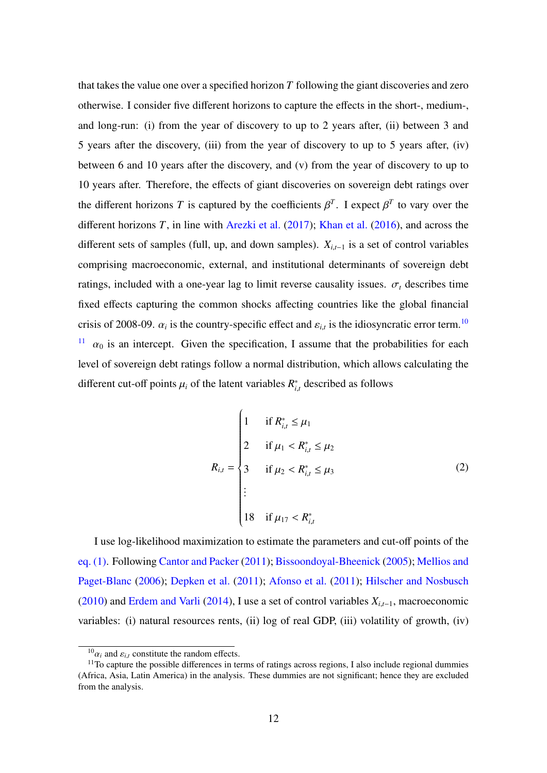that takes the value one over a specified horizon *T* following the giant discoveries and zero otherwise. I consider five different horizons to capture the effects in the short-, medium-, and long-run: (i) from the year of discovery to up to 2 years after, (ii) between 3 and 5 years after the discovery, (iii) from the year of discovery to up to 5 years after, (iv) between 6 and 10 years after the discovery, and (v) from the year of discovery to up to 10 years after. Therefore, the effects of giant discoveries on sovereign debt ratings over the different horizons *T* is captured by the coefficients  $\beta^T$ . I expect  $\beta^T$  to vary over the different horizons *T*, in line with [Arezki et al.](#page-25-4) [\(2017\)](#page-25-4); [Khan et al.](#page-26-2) [\(2016\)](#page-26-2), and across the different sets of samples (full, up, and down samples). *<sup>X</sup><sup>i</sup>*,*t*−<sup>1</sup> is a set of control variables comprising macroeconomic, external, and institutional determinants of sovereign debt ratings, included with a one-year lag to limit reverse causality issues.  $\sigma_t$  describes time fixed effects capturing the common shocks affecting countries like the global financial crisis of 2008-09.  $\alpha_i$  is the country-specific effect and  $\varepsilon_{i,t}$  is the idiosyncratic error term.<sup>[10](#page-11-0)</sup> <sup>[11](#page-11-1)</sup>  $\alpha_0$  is an intercept. Given the specification, I assume that the probabilities for each level of sovereign debt ratings follow a normal distribution, which allows calculating the different cut-off points  $\mu_i$  of the latent variables  $R_i^*$ *i*,*t* described as follows

$$
R_{i,t} = \begin{cases} 1 & \text{if } R_{i,t}^* \leq \mu_1 \\ 2 & \text{if } \mu_1 < R_{i,t}^* \leq \mu_2 \\ 3 & \text{if } \mu_2 < R_{i,t}^* \leq \mu_3 \\ \vdots & & \vdots \\ 18 & \text{if } \mu_{17} < R_{i,t}^* \end{cases} \tag{2}
$$

I use log-likelihood maximization to estimate the parameters and cut-off points of the [eq. \(1\).](#page-10-2) Following [Cantor and Packer](#page-25-5) [\(2011\)](#page-25-5); [Bissoondoyal-Bheenick](#page-25-7) [\(2005\)](#page-25-7); [Mellios and](#page-26-10) [Paget-Blanc](#page-26-10) [\(2006\)](#page-26-10); [Depken et al.](#page-25-8) [\(2011\)](#page-25-8); [Afonso et al.](#page-25-9) [\(2011\)](#page-25-9); [Hilscher and Nosbusch](#page-26-13) [\(2010\)](#page-26-13) and [Erdem and Varli](#page-26-12) [\(2014\)](#page-26-12), I use a set of control variables *<sup>X</sup><sup>i</sup>*,*t*−1, macroeconomic variables: (i) natural resources rents, (ii) log of real GDP, (iii) volatility of growth, (iv)

<span id="page-11-1"></span><span id="page-11-0"></span> $^{10}$  $\alpha_i$  and  $\varepsilon_{i,t}$  constitute the random effects.<br> $^{11}$ To capture the possible differences in term

 $11$ To capture the possible differences in terms of ratings across regions, I also include regional dummies (Africa, Asia, Latin America) in the analysis. These dummies are not significant; hence they are excluded from the analysis.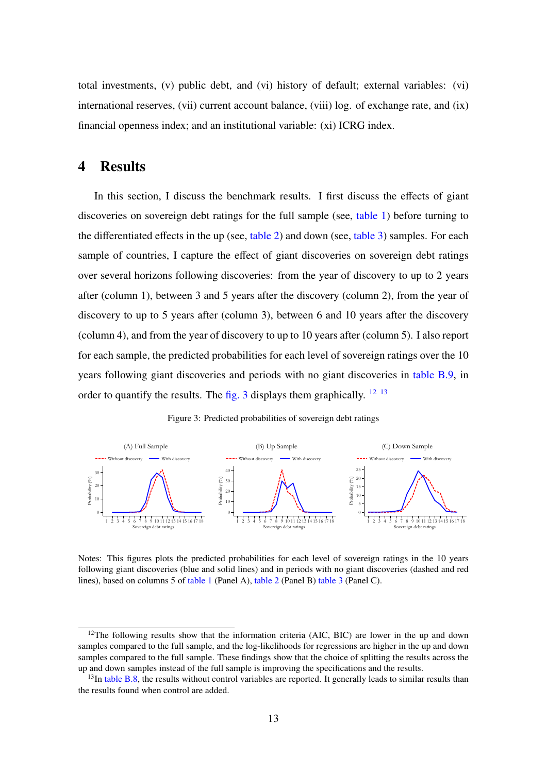total investments, (v) public debt, and (vi) history of default; external variables: (vi) international reserves, (vii) current account balance, (viii) log. of exchange rate, and (ix) financial openness index; and an institutional variable: (xi) ICRG index.

## <span id="page-12-0"></span>4 Results

In this section, I discuss the benchmark results. I first discuss the effects of giant discoveries on sovereign debt ratings for the full sample (see, [table 1\)](#page-14-0) before turning to the differentiated effects in the up (see, [table 2\)](#page-15-0) and down (see, [table 3\)](#page-17-0) samples. For each sample of countries, I capture the effect of giant discoveries on sovereign debt ratings over several horizons following discoveries: from the year of discovery to up to 2 years after (column 1), between 3 and 5 years after the discovery (column 2), from the year of discovery to up to 5 years after (column 3), between 6 and 10 years after the discovery (column 4), and from the year of discovery to up to 10 years after (column 5). I also report for each sample, the predicted probabilities for each level of sovereign ratings over the 10 years following giant discoveries and periods with no giant discoveries in [table B.9,](#page-31-0) in order to quantify the results. The [fig. 3](#page-12-1) displays them graphically.  $^{12}$  $^{12}$  $^{12}$   $^{13}$  $^{13}$  $^{13}$ 



<span id="page-12-1"></span>

Notes: This figures plots the predicted probabilities for each level of sovereign ratings in the 10 years following giant discoveries (blue and solid lines) and in periods with no giant discoveries (dashed and red lines), based on columns 5 of [table 1](#page-14-0) (Panel A), [table 2](#page-15-0) (Panel B) [table 3](#page-17-0) (Panel C).

<span id="page-12-2"></span><sup>&</sup>lt;sup>12</sup>The following results show that the information criteria (AIC, BIC) are lower in the up and down samples compared to the full sample, and the log-likelihoods for regressions are higher in the up and down samples compared to the full sample. These findings show that the choice of splitting the results across the up and down samples instead of the full sample is improving the specifications and the results.

<span id="page-12-3"></span> $13$ In [table B.8,](#page-31-1) the results without control variables are reported. It generally leads to similar results than the results found when control are added.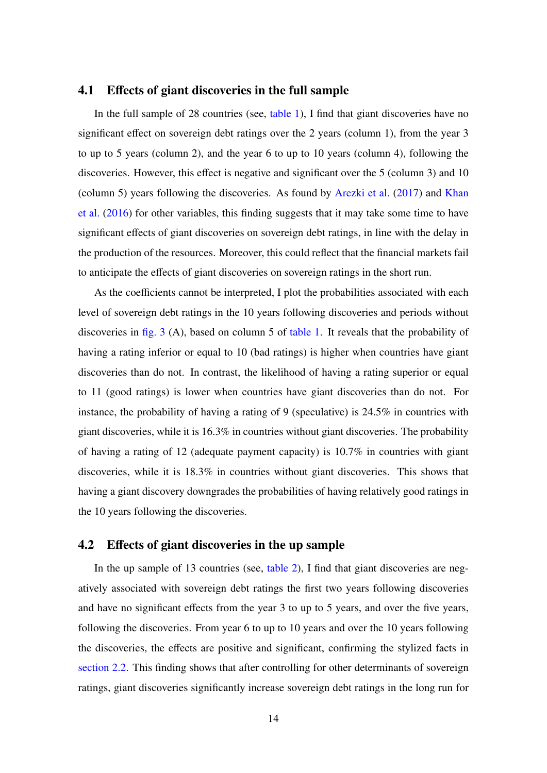#### 4.1 Effects of giant discoveries in the full sample

In the full sample of 28 countries (see, [table 1\)](#page-14-0), I find that giant discoveries have no significant effect on sovereign debt ratings over the 2 years (column 1), from the year 3 to up to 5 years (column 2), and the year 6 to up to 10 years (column 4), following the discoveries. However, this effect is negative and significant over the 5 (column 3) and 10 (column 5) years following the discoveries. As found by [Arezki et al.](#page-25-4) [\(2017\)](#page-25-4) and [Khan](#page-26-2) [et al.](#page-26-2) [\(2016\)](#page-26-2) for other variables, this finding suggests that it may take some time to have significant effects of giant discoveries on sovereign debt ratings, in line with the delay in the production of the resources. Moreover, this could reflect that the financial markets fail to anticipate the effects of giant discoveries on sovereign ratings in the short run.

As the coefficients cannot be interpreted, I plot the probabilities associated with each level of sovereign debt ratings in the 10 years following discoveries and periods without discoveries in [fig. 3](#page-12-1) (A), based on column 5 of [table 1.](#page-14-0) It reveals that the probability of having a rating inferior or equal to 10 (bad ratings) is higher when countries have giant discoveries than do not. In contrast, the likelihood of having a rating superior or equal to 11 (good ratings) is lower when countries have giant discoveries than do not. For instance, the probability of having a rating of 9 (speculative) is 24.5% in countries with giant discoveries, while it is 16.3% in countries without giant discoveries. The probability of having a rating of 12 (adequate payment capacity) is 10.7% in countries with giant discoveries, while it is 18.3% in countries without giant discoveries. This shows that having a giant discovery downgrades the probabilities of having relatively good ratings in the 10 years following the discoveries.

#### 4.2 Effects of giant discoveries in the up sample

In the up sample of 13 countries (see, [table 2\)](#page-15-0), I find that giant discoveries are negatively associated with sovereign debt ratings the first two years following discoveries and have no significant effects from the year 3 to up to 5 years, and over the five years, following the discoveries. From year 6 to up to 10 years and over the 10 years following the discoveries, the effects are positive and significant, confirming the stylized facts in [section 2.2.](#page-7-1) This finding shows that after controlling for other determinants of sovereign ratings, giant discoveries significantly increase sovereign debt ratings in the long run for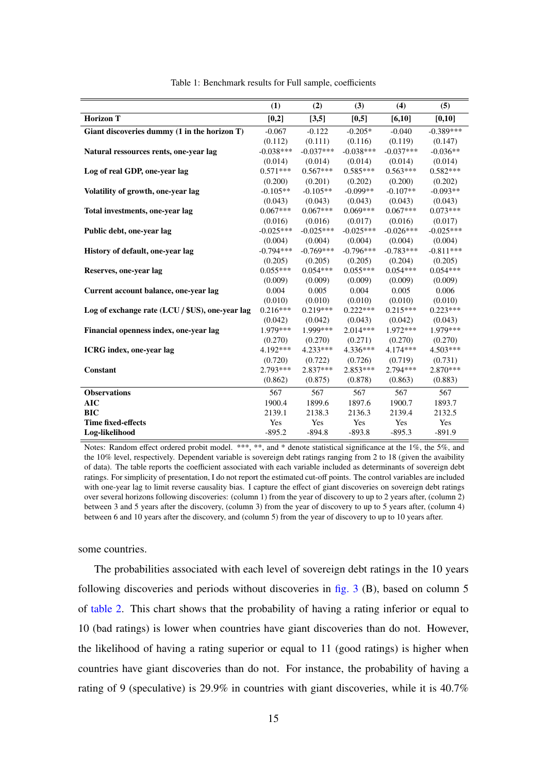<span id="page-14-0"></span>

|                                                 | (1)         | (2)         | (3)         | (4)         | (5)         |
|-------------------------------------------------|-------------|-------------|-------------|-------------|-------------|
| <b>Horizon T</b>                                | $[0,2]$     | [3,5]       | [0,5]       | [6,10]      | [0,10]      |
| Giant discoveries dummy (1 in the horizon T)    | $-0.067$    | $-0.122$    | $-0.205*$   | $-0.040$    | $-0.389***$ |
|                                                 | (0.112)     | (0.111)     | (0.116)     | (0.119)     | (0.147)     |
| Natural ressources rents, one-year lag          | $-0.038***$ | $-0.037***$ | $-0.038***$ | $-0.037***$ | $-0.036**$  |
|                                                 | (0.014)     | (0.014)     | (0.014)     | (0.014)     | (0.014)     |
| Log of real GDP, one-year lag                   | $0.571***$  | $0.567***$  | $0.585***$  | $0.563***$  | $0.582***$  |
|                                                 | (0.200)     | (0.201)     | (0.202)     | (0.200)     | (0.202)     |
| Volatility of growth, one-year lag              | $-0.105**$  | $-0.105**$  | $-0.099**$  | $-0.107**$  | $-0.093**$  |
|                                                 | (0.043)     | (0.043)     | (0.043)     | (0.043)     | (0.043)     |
| Total investments, one-year lag                 | $0.067***$  | $0.067***$  | $0.069***$  | $0.067***$  | $0.073***$  |
|                                                 | (0.016)     | (0.016)     | (0.017)     | (0.016)     | (0.017)     |
| Public debt, one-year lag                       | $-0.025***$ | $-0.025***$ | $-0.025***$ | $-0.026***$ | $-0.025***$ |
|                                                 | (0.004)     | (0.004)     | (0.004)     | (0.004)     | (0.004)     |
| History of default, one-year lag                | $-0.794***$ | $-0.769***$ | $-0.796***$ | $-0.783***$ | $-0.811***$ |
|                                                 | (0.205)     | (0.205)     | (0.205)     | (0.204)     | (0.205)     |
| Reserves, one-year lag                          | $0.055***$  | $0.054***$  | $0.055***$  | $0.054***$  | $0.054***$  |
|                                                 | (0.009)     | (0.009)     | (0.009)     | (0.009)     | (0.009)     |
| Current account balance, one-year lag           | 0.004       | 0.005       | 0.004       | 0.005       | 0.006       |
|                                                 | (0.010)     | (0.010)     | (0.010)     | (0.010)     | (0.010)     |
| Log of exchange rate (LCU / \$US), one-year lag | $0.216***$  | $0.219***$  | $0.222***$  | $0.215***$  | $0.223***$  |
|                                                 | (0.042)     | (0.042)     | (0.043)     | (0.042)     | (0.043)     |
| Financial openness index, one-year lag          | 1.979***    | 1.999***    | $2.014***$  | $1.972***$  | 1.979***    |
|                                                 | (0.270)     | (0.270)     | (0.271)     | (0.270)     | (0.270)     |
| ICRG index, one-year lag                        | 4.192***    | $4.233***$  | 4.336***    | 4.174***    | $4.503***$  |
|                                                 | (0.720)     | (0.722)     | (0.726)     | (0.719)     | (0.731)     |
| Constant                                        | $2.793***$  | $2.837***$  | $2.853***$  | 2.794 ***   | 2.870***    |
|                                                 | (0.862)     | (0.875)     | (0.878)     | (0.863)     | (0.883)     |
| <b>Observations</b>                             | 567         | 567         | 567         | 567         | 567         |
| <b>AIC</b>                                      | 1900.4      | 1899.6      | 1897.6      | 1900.7      | 1893.7      |
| <b>BIC</b>                                      | 2139.1      | 2138.3      | 2136.3      | 2139.4      | 2132.5      |
| <b>Time fixed-effects</b>                       | Yes         | Yes         | Yes         | Yes         | Yes         |
| Log-likelihood                                  | $-895.2$    | $-894.8$    | $-893.8$    | $-895.3$    | $-891.9$    |

Table 1: Benchmark results for Full sample, coefficients

some countries.

The probabilities associated with each level of sovereign debt ratings in the 10 years following discoveries and periods without discoveries in  $fig. 3$  (B), based on column 5 of [table 2.](#page-15-0) This chart shows that the probability of having a rating inferior or equal to 10 (bad ratings) is lower when countries have giant discoveries than do not. However, the likelihood of having a rating superior or equal to 11 (good ratings) is higher when countries have giant discoveries than do not. For instance, the probability of having a rating of 9 (speculative) is 29.9% in countries with giant discoveries, while it is 40.7%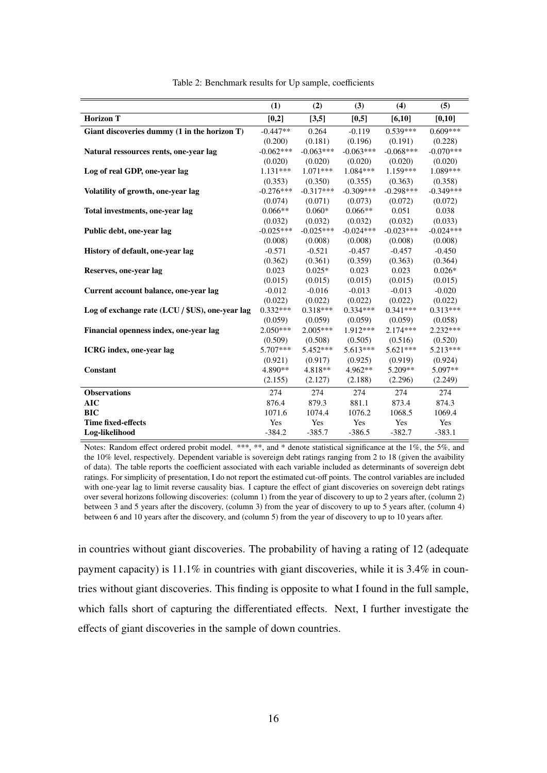<span id="page-15-0"></span>

|                                                 | (1)         | (2)         | (3)         | (4)         | (5)         |
|-------------------------------------------------|-------------|-------------|-------------|-------------|-------------|
| <b>Horizon T</b>                                | [0,2]       | [3,5]       | [0,5]       | [6,10]      | [0,10]      |
| Giant discoveries dummy (1 in the horizon T)    | $-0.447**$  | 0.264       | $-0.119$    | $0.539***$  | $0.609***$  |
|                                                 | (0.200)     | (0.181)     | (0.196)     | (0.191)     | (0.228)     |
| Natural ressources rents, one-year lag          | $-0.062***$ | $-0.063***$ | $-0.063***$ | $-0.068***$ | $-0.070***$ |
|                                                 | (0.020)     | (0.020)     | (0.020)     | (0.020)     | (0.020)     |
| Log of real GDP, one-year lag                   | $1.131***$  | $1.071***$  | $1.084***$  | $1.159***$  | 1.089***    |
|                                                 | (0.353)     | (0.350)     | (0.355)     | (0.363)     | (0.358)     |
| Volatility of growth, one-year lag              | $-0.276***$ | $-0.317***$ | $-0.309***$ | $-0.298***$ | $-0.349***$ |
|                                                 | (0.074)     | (0.071)     | (0.073)     | (0.072)     | (0.072)     |
| Total investments, one-year lag                 | $0.066**$   | $0.060*$    | $0.066**$   | 0.051       | 0.038       |
|                                                 | (0.032)     | (0.032)     | (0.032)     | (0.032)     | (0.033)     |
| Public debt, one-year lag                       | $-0.025***$ | $-0.025***$ | $-0.024***$ | $-0.023***$ | $-0.024***$ |
|                                                 | (0.008)     | (0.008)     | (0.008)     | (0.008)     | (0.008)     |
| History of default, one-year lag                | $-0.571$    | $-0.521$    | $-0.457$    | $-0.457$    | $-0.450$    |
|                                                 | (0.362)     | (0.361)     | (0.359)     | (0.363)     | (0.364)     |
| Reserves, one-year lag                          | 0.023       | $0.025*$    | 0.023       | 0.023       | $0.026*$    |
|                                                 | (0.015)     | (0.015)     | (0.015)     | (0.015)     | (0.015)     |
| Current account balance, one-year lag           | $-0.012$    | $-0.016$    | $-0.013$    | $-0.013$    | $-0.020$    |
|                                                 | (0.022)     | (0.022)     | (0.022)     | (0.022)     | (0.022)     |
| Log of exchange rate (LCU / \$US), one-year lag | $0.332***$  | $0.318***$  | $0.334***$  | $0.341***$  | $0.313***$  |
|                                                 | (0.059)     | (0.059)     | (0.059)     | (0.059)     | (0.058)     |
| Financial openness index, one-year lag          | $2.050***$  | $2.005***$  | 1.912***    | $2.174***$  | $2.232***$  |
|                                                 | (0.509)     | (0.508)     | (0.505)     | (0.516)     | (0.520)     |
| ICRG index, one-year lag                        | 5.707***    | 5.452***    | $5.613***$  | $5.621***$  | $5.213***$  |
|                                                 | (0.921)     | (0.917)     | (0.925)     | (0.919)     | (0.924)     |
| Constant                                        | 4.890**     | 4.818**     | $4.962**$   | $5.209**$   | $5.097**$   |
|                                                 | (2.155)     | (2.127)     | (2.188)     | (2.296)     | (2.249)     |
| <b>Observations</b>                             | 274         | 274         | 274         | 274         | 274         |
| <b>AIC</b>                                      | 876.4       | 879.3       | 881.1       | 873.4       | 874.3       |
| <b>BIC</b>                                      | 1071.6      | 1074.4      | 1076.2      | 1068.5      | 1069.4      |
| <b>Time fixed-effects</b>                       | Yes         | Yes         | Yes         | Yes         | Yes         |
| Log-likelihood                                  | $-384.2$    | $-385.7$    | $-386.5$    | $-382.7$    | $-383.1$    |

Table 2: Benchmark results for Up sample, coefficients

in countries without giant discoveries. The probability of having a rating of 12 (adequate payment capacity) is 11.1% in countries with giant discoveries, while it is 3.4% in countries without giant discoveries. This finding is opposite to what I found in the full sample, which falls short of capturing the differentiated effects. Next, I further investigate the effects of giant discoveries in the sample of down countries.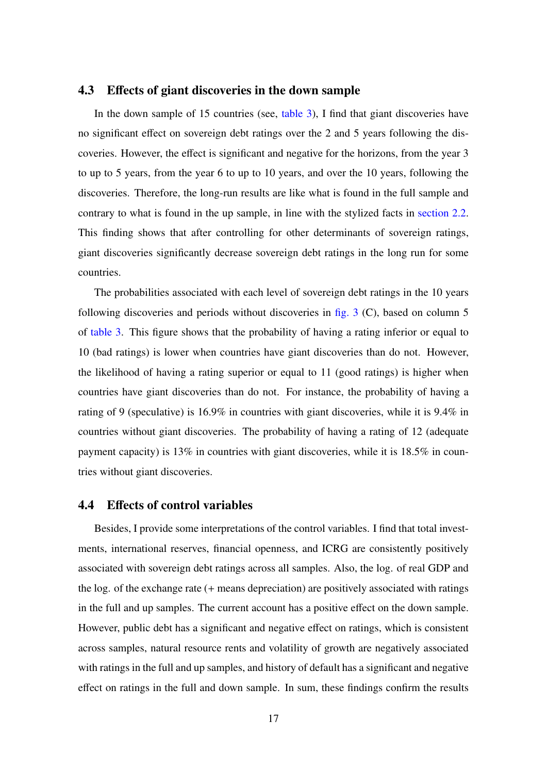#### 4.3 Effects of giant discoveries in the down sample

In the down sample of 15 countries (see, [table 3\)](#page-17-0), I find that giant discoveries have no significant effect on sovereign debt ratings over the 2 and 5 years following the discoveries. However, the effect is significant and negative for the horizons, from the year 3 to up to 5 years, from the year 6 to up to 10 years, and over the 10 years, following the discoveries. Therefore, the long-run results are like what is found in the full sample and contrary to what is found in the up sample, in line with the stylized facts in [section 2.2.](#page-7-1) This finding shows that after controlling for other determinants of sovereign ratings, giant discoveries significantly decrease sovereign debt ratings in the long run for some countries.

The probabilities associated with each level of sovereign debt ratings in the 10 years following discoveries and periods without discoveries in fig.  $3$  (C), based on column  $5$ of [table 3.](#page-17-0) This figure shows that the probability of having a rating inferior or equal to 10 (bad ratings) is lower when countries have giant discoveries than do not. However, the likelihood of having a rating superior or equal to 11 (good ratings) is higher when countries have giant discoveries than do not. For instance, the probability of having a rating of 9 (speculative) is 16.9% in countries with giant discoveries, while it is 9.4% in countries without giant discoveries. The probability of having a rating of 12 (adequate payment capacity) is 13% in countries with giant discoveries, while it is 18.5% in countries without giant discoveries.

#### 4.4 Effects of control variables

Besides, I provide some interpretations of the control variables. I find that total investments, international reserves, financial openness, and ICRG are consistently positively associated with sovereign debt ratings across all samples. Also, the log. of real GDP and the log. of the exchange rate (+ means depreciation) are positively associated with ratings in the full and up samples. The current account has a positive effect on the down sample. However, public debt has a significant and negative effect on ratings, which is consistent across samples, natural resource rents and volatility of growth are negatively associated with ratings in the full and up samples, and history of default has a significant and negative effect on ratings in the full and down sample. In sum, these findings confirm the results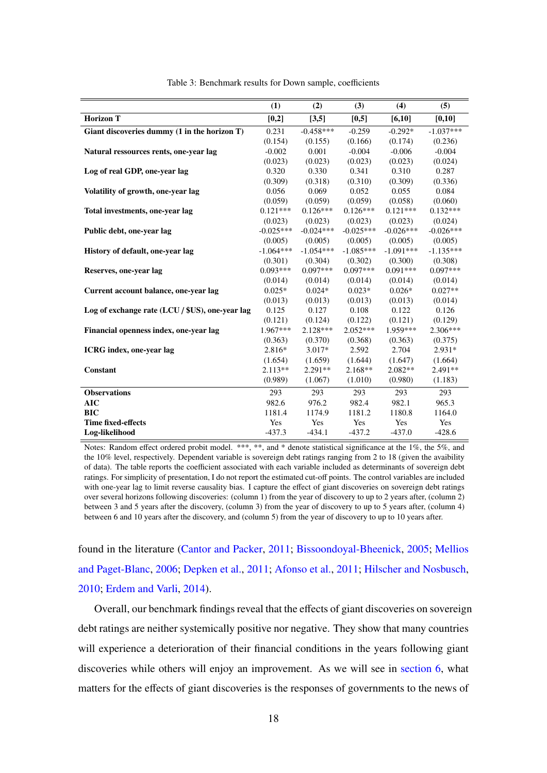<span id="page-17-0"></span>

|                                                 | (1)         | (2)         | (3)         | (4)         | (5)         |
|-------------------------------------------------|-------------|-------------|-------------|-------------|-------------|
| <b>Horizon T</b>                                | [0,2]       | [3,5]       | [0, 5]      | [6,10]      | [0,10]      |
| Giant discoveries dummy (1 in the horizon T)    | 0.231       | $-0.458***$ | $-0.259$    | $-0.292*$   | $-1.037***$ |
|                                                 | (0.154)     | (0.155)     | (0.166)     | (0.174)     | (0.236)     |
| Natural ressources rents, one-year lag          | $-0.002$    | 0.001       | $-0.004$    | $-0.006$    | $-0.004$    |
|                                                 | (0.023)     | (0.023)     | (0.023)     | (0.023)     | (0.024)     |
| Log of real GDP, one-year lag                   | 0.320       | 0.330       | 0.341       | 0.310       | 0.287       |
|                                                 | (0.309)     | (0.318)     | (0.310)     | (0.309)     | (0.336)     |
| Volatility of growth, one-year lag              | 0.056       | 0.069       | 0.052       | 0.055       | 0.084       |
|                                                 | (0.059)     | (0.059)     | (0.059)     | (0.058)     | (0.060)     |
| Total investments, one-year lag                 | $0.121***$  | $0.126***$  | $0.126***$  | $0.121***$  | $0.132***$  |
|                                                 | (0.023)     | (0.023)     | (0.023)     | (0.023)     | (0.024)     |
| Public debt, one-year lag                       | $-0.025***$ | $-0.024***$ | $-0.025***$ | $-0.026***$ | $-0.026***$ |
|                                                 | (0.005)     | (0.005)     | (0.005)     | (0.005)     | (0.005)     |
| History of default, one-year lag                | $-1.064***$ | $-1.054***$ | $-1.085***$ | $-1.091***$ | $-1.135***$ |
|                                                 | (0.301)     | (0.304)     | (0.302)     | (0.300)     | (0.308)     |
| Reserves, one-year lag                          | $0.093***$  | $0.097***$  | $0.097***$  | $0.091***$  | $0.097***$  |
|                                                 | (0.014)     | (0.014)     | (0.014)     | (0.014)     | (0.014)     |
| Current account balance, one-year lag           | $0.025*$    | $0.024*$    | $0.023*$    | $0.026*$    | $0.027**$   |
|                                                 | (0.013)     | (0.013)     | (0.013)     | (0.013)     | (0.014)     |
| Log of exchange rate (LCU / \$US), one-year lag | 0.125       | 0.127       | 0.108       | 0.122       | 0.126       |
|                                                 | (0.121)     | (0.124)     | (0.122)     | (0.121)     | (0.129)     |
| Financial openness index, one-year lag          | 1.967***    | $2.128***$  | $2.052***$  | 1.959***    | 2.306***    |
|                                                 | (0.363)     | (0.370)     | (0.368)     | (0.363)     | (0.375)     |
| ICRG index, one-year lag                        | $2.816*$    | $3.017*$    | 2.592       | 2.704       | $2.931*$    |
|                                                 | (1.654)     | (1.659)     | (1.644)     | (1.647)     | (1.664)     |
| Constant                                        | $2.113**$   | $2.291**$   | $2.168**$   | $2.082**$   | 2.491**     |
|                                                 | (0.989)     | (1.067)     | (1.010)     | (0.980)     | (1.183)     |
| <b>Observations</b>                             | 293         | 293         | 293         | 293         | 293         |
| <b>AIC</b>                                      | 982.6       | 976.2       | 982.4       | 982.1       | 965.3       |
| <b>BIC</b>                                      | 1181.4      | 1174.9      | 1181.2      | 1180.8      | 1164.0      |
| <b>Time fixed-effects</b>                       | Yes         | Yes         | Yes         | Yes         | Yes         |
| Log-likelihood                                  | $-437.3$    | $-434.1$    | $-437.2$    | $-437.0$    | $-428.6$    |

Table 3: Benchmark results for Down sample, coefficients

found in the literature [\(Cantor and Packer,](#page-25-5) [2011;](#page-25-5) [Bissoondoyal-Bheenick,](#page-25-7) [2005;](#page-25-7) [Mellios](#page-26-10) [and Paget-Blanc,](#page-26-10) [2006;](#page-26-10) [Depken et al.,](#page-25-8) [2011;](#page-25-8) [Afonso et al.,](#page-25-9) [2011;](#page-25-9) [Hilscher and Nosbusch,](#page-26-13) [2010;](#page-26-13) [Erdem and Varli,](#page-26-12) [2014\)](#page-26-12).

Overall, our benchmark findings reveal that the effects of giant discoveries on sovereign debt ratings are neither systemically positive nor negative. They show that many countries will experience a deterioration of their financial conditions in the years following giant discoveries while others will enjoy an improvement. As we will see in [section 6,](#page-19-0) what matters for the effects of giant discoveries is the responses of governments to the news of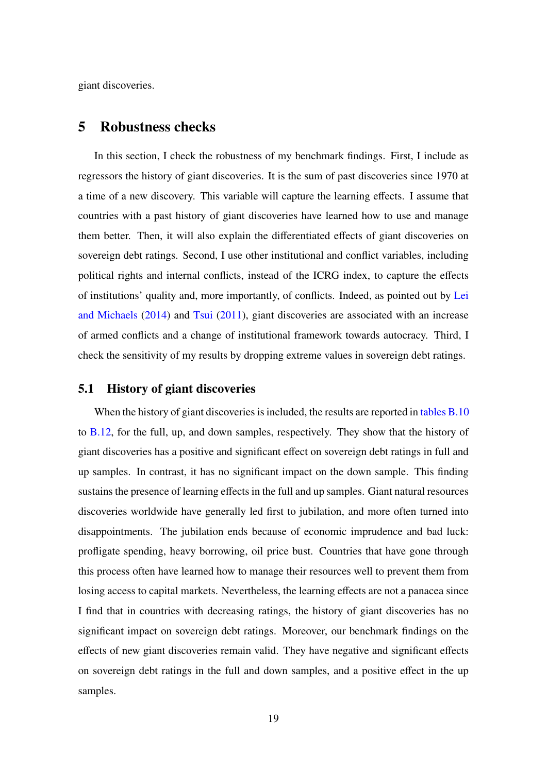<span id="page-18-0"></span>giant discoveries.

### 5 Robustness checks

In this section, I check the robustness of my benchmark findings. First, I include as regressors the history of giant discoveries. It is the sum of past discoveries since 1970 at a time of a new discovery. This variable will capture the learning effects. I assume that countries with a past history of giant discoveries have learned how to use and manage them better. Then, it will also explain the differentiated effects of giant discoveries on sovereign debt ratings. Second, I use other institutional and conflict variables, including political rights and internal conflicts, instead of the ICRG index, to capture the effects of institutions' quality and, more importantly, of conflicts. Indeed, as pointed out by [Lei](#page-26-5) [and Michaels](#page-26-5) [\(2014\)](#page-26-5) and [Tsui](#page-27-6) [\(2011\)](#page-27-6), giant discoveries are associated with an increase of armed conflicts and a change of institutional framework towards autocracy. Third, I check the sensitivity of my results by dropping extreme values in sovereign debt ratings.

#### 5.1 History of giant discoveries

When the history of giant discoveries is included, the results are reported in [tables B.10](#page-32-0) to [B.12,](#page-34-0) for the full, up, and down samples, respectively. They show that the history of giant discoveries has a positive and significant effect on sovereign debt ratings in full and up samples. In contrast, it has no significant impact on the down sample. This finding sustains the presence of learning effects in the full and up samples. Giant natural resources discoveries worldwide have generally led first to jubilation, and more often turned into disappointments. The jubilation ends because of economic imprudence and bad luck: profligate spending, heavy borrowing, oil price bust. Countries that have gone through this process often have learned how to manage their resources well to prevent them from losing access to capital markets. Nevertheless, the learning effects are not a panacea since I find that in countries with decreasing ratings, the history of giant discoveries has no significant impact on sovereign debt ratings. Moreover, our benchmark findings on the effects of new giant discoveries remain valid. They have negative and significant effects on sovereign debt ratings in the full and down samples, and a positive effect in the up samples.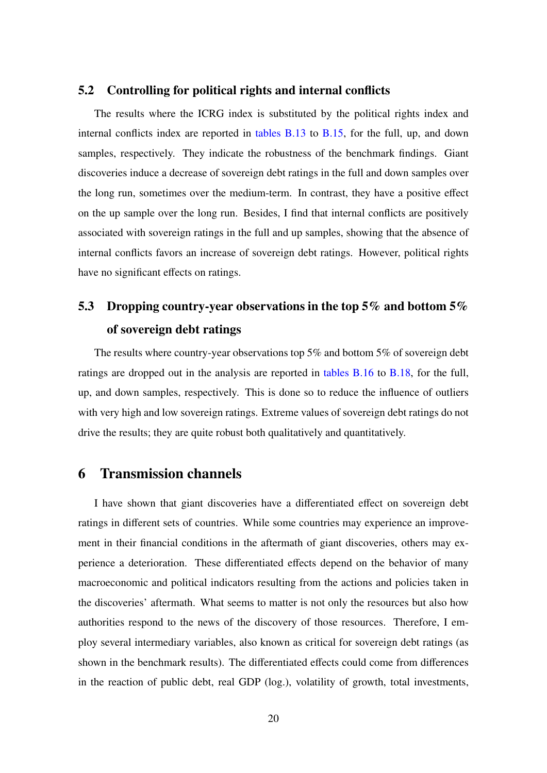#### 5.2 Controlling for political rights and internal conflicts

The results where the ICRG index is substituted by the political rights index and internal conflicts index are reported in [tables B.13](#page-35-0) to [B.15,](#page-37-0) for the full, up, and down samples, respectively. They indicate the robustness of the benchmark findings. Giant discoveries induce a decrease of sovereign debt ratings in the full and down samples over the long run, sometimes over the medium-term. In contrast, they have a positive effect on the up sample over the long run. Besides, I find that internal conflicts are positively associated with sovereign ratings in the full and up samples, showing that the absence of internal conflicts favors an increase of sovereign debt ratings. However, political rights have no significant effects on ratings.

# 5.3 Dropping country-year observations in the top 5% and bottom 5% of sovereign debt ratings

The results where country-year observations top 5% and bottom 5% of sovereign debt ratings are dropped out in the analysis are reported in [tables B.16](#page-38-0) to [B.18,](#page-40-0) for the full, up, and down samples, respectively. This is done so to reduce the influence of outliers with very high and low sovereign ratings. Extreme values of sovereign debt ratings do not drive the results; they are quite robust both qualitatively and quantitatively.

## <span id="page-19-0"></span>6 Transmission channels

I have shown that giant discoveries have a differentiated effect on sovereign debt ratings in different sets of countries. While some countries may experience an improvement in their financial conditions in the aftermath of giant discoveries, others may experience a deterioration. These differentiated effects depend on the behavior of many macroeconomic and political indicators resulting from the actions and policies taken in the discoveries' aftermath. What seems to matter is not only the resources but also how authorities respond to the news of the discovery of those resources. Therefore, I employ several intermediary variables, also known as critical for sovereign debt ratings (as shown in the benchmark results). The differentiated effects could come from differences in the reaction of public debt, real GDP (log.), volatility of growth, total investments,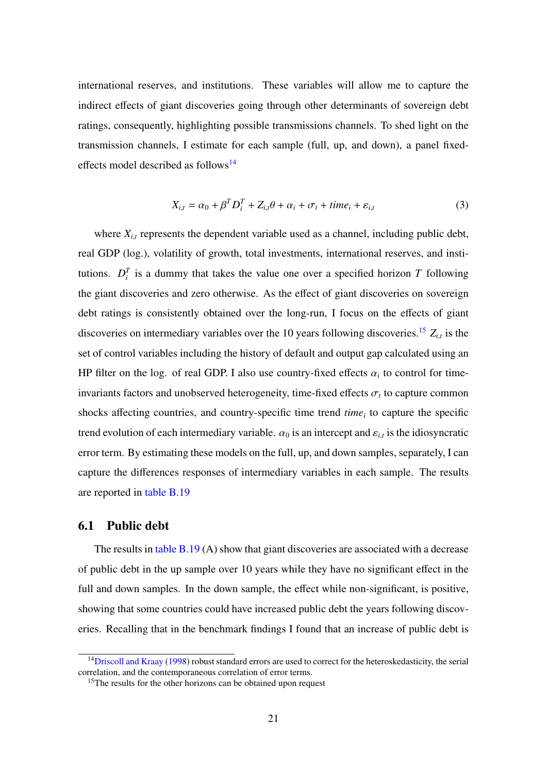international reserves, and institutions. These variables will allow me to capture the indirect effects of giant discoveries going through other determinants of sovereign debt ratings, consequently, highlighting possible transmissions channels. To shed light on the transmission channels, I estimate for each sample (full, up, and down), a panel fixed-effects model described as follows<sup>[14](#page-20-0)</sup>

$$
X_{i,t} = \alpha_0 + \beta^T D_i^T + Z_{i,t}\theta + \alpha_i + \sigma_t + time_i + \varepsilon_{i,t}
$$
\n(3)

where  $X_{i,t}$  represents the dependent variable used as a channel, including public debt, real GDP (log.), volatility of growth, total investments, international reserves, and institutions.  $D_i^T$  is a dummy that takes the value one over a specified horizon *T* following the giant discoveries and zero otherwise. As the effect of giant discoveries on sovereign debt ratings is consistently obtained over the long-run, I focus on the effects of giant discoveries on intermediary variables over the 10 years following discoveries.<sup>[15](#page-20-1)</sup>  $Z_{i,t}$  is the set of control variables including the history of default and output gap calculated using an HP filter on the log. of real GDP. I also use country-fixed effects  $\alpha_i$  to control for timeinvariants factors and unobserved heterogeneity, time-fixed effects  $\sigma_t$  to capture common shocks affecting countries, and country-specific time trend *time<sup>i</sup>* to capture the specific trend evolution of each intermediary variable.  $\alpha_0$  is an intercept and  $\varepsilon_{i,t}$  is the idiosyncratic error term. By estimating these models on the full, up, and down samples, separately, I can capture the differences responses of intermediary variables in each sample. The results are reported in [table B.19](#page-41-0)

#### 6.1 Public debt

The results in [table B.19](#page-41-0) (A) show that giant discoveries are associated with a decrease of public debt in the up sample over 10 years while they have no significant effect in the full and down samples. In the down sample, the effect while non-significant, is positive, showing that some countries could have increased public debt the years following discoveries. Recalling that in the benchmark findings I found that an increase of public debt is

<span id="page-20-0"></span><sup>&</sup>lt;sup>14</sup>[Driscoll and Kraay](#page-25-12) [\(1998\)](#page-25-12) robust standard errors are used to correct for the heteroskedasticity, the serial correlation, and the contemporaneous correlation of error terms.

<span id="page-20-1"></span><sup>&</sup>lt;sup>15</sup>The results for the other horizons can be obtained upon request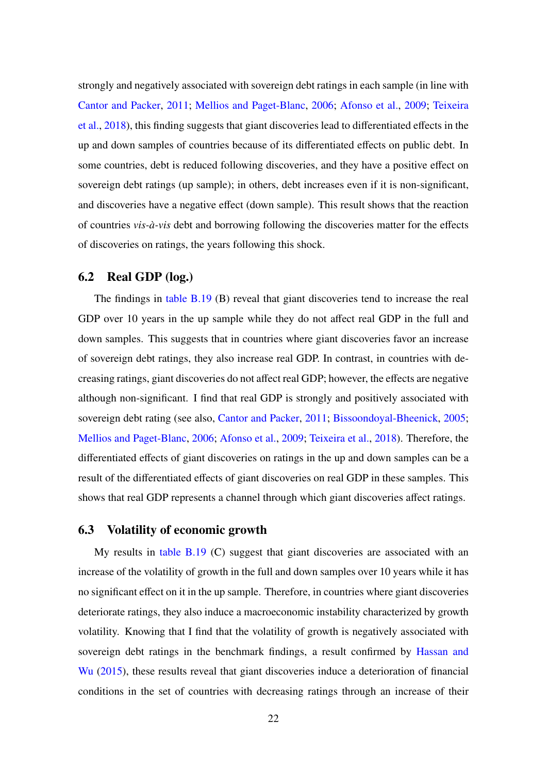strongly and negatively associated with sovereign debt ratings in each sample (in line with [Cantor and Packer,](#page-25-5) [2011;](#page-25-5) [Mellios and Paget-Blanc,](#page-26-10) [2006;](#page-26-10) [Afonso et al.,](#page-25-11) [2009;](#page-25-11) [Teixeira](#page-27-9) [et al.,](#page-27-9) [2018\)](#page-27-9), this finding suggests that giant discoveries lead to differentiated effects in the up and down samples of countries because of its differentiated effects on public debt. In some countries, debt is reduced following discoveries, and they have a positive effect on sovereign debt ratings (up sample); in others, debt increases even if it is non-significant, and discoveries have a negative effect (down sample). This result shows that the reaction of countries *vis-à-vis* debt and borrowing following the discoveries matter for the effects of discoveries on ratings, the years following this shock.

#### 6.2 Real GDP (log.)

The findings in [table B.19](#page-41-0) (B) reveal that giant discoveries tend to increase the real GDP over 10 years in the up sample while they do not affect real GDP in the full and down samples. This suggests that in countries where giant discoveries favor an increase of sovereign debt ratings, they also increase real GDP. In contrast, in countries with decreasing ratings, giant discoveries do not affect real GDP; however, the effects are negative although non-significant. I find that real GDP is strongly and positively associated with sovereign debt rating (see also, [Cantor and Packer,](#page-25-5) [2011;](#page-25-5) [Bissoondoyal-Bheenick,](#page-25-7) [2005;](#page-25-7) [Mellios and Paget-Blanc,](#page-26-10) [2006;](#page-26-10) [Afonso et al.,](#page-25-11) [2009;](#page-25-11) [Teixeira et al.,](#page-27-9) [2018\)](#page-27-9). Therefore, the differentiated effects of giant discoveries on ratings in the up and down samples can be a result of the differentiated effects of giant discoveries on real GDP in these samples. This shows that real GDP represents a channel through which giant discoveries affect ratings.

### 6.3 Volatility of economic growth

My results in [table B.19](#page-41-0) (C) suggest that giant discoveries are associated with an increase of the volatility of growth in the full and down samples over 10 years while it has no significant effect on it in the up sample. Therefore, in countries where giant discoveries deteriorate ratings, they also induce a macroeconomic instability characterized by growth volatility. Knowing that I find that the volatility of growth is negatively associated with sovereign debt ratings in the benchmark findings, a result confirmed by [Hassan and](#page-26-16) [Wu](#page-26-16) [\(2015\)](#page-26-16), these results reveal that giant discoveries induce a deterioration of financial conditions in the set of countries with decreasing ratings through an increase of their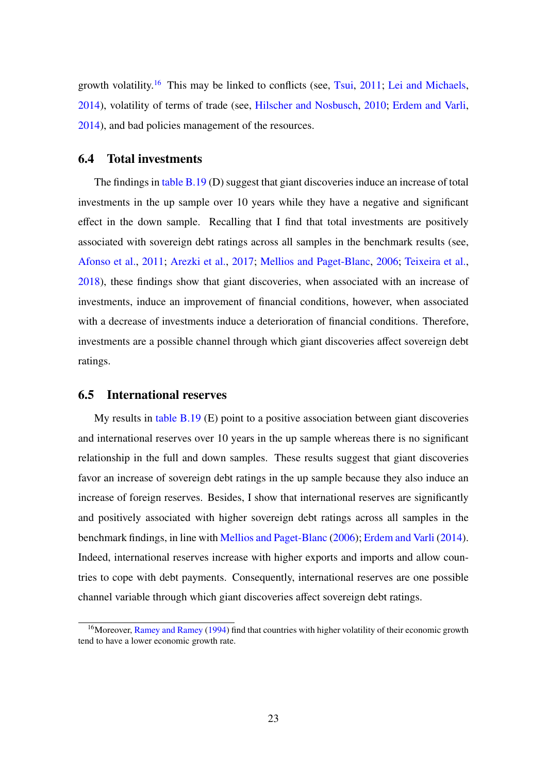growth volatility.<sup>[16](#page-22-0)</sup> This may be linked to conflicts (see, [Tsui,](#page-27-6) [2011;](#page-27-6) [Lei and Michaels,](#page-26-5) [2014\)](#page-26-5), volatility of terms of trade (see, [Hilscher and Nosbusch,](#page-26-13) [2010;](#page-26-13) [Erdem and Varli,](#page-26-12) [2014\)](#page-26-12), and bad policies management of the resources.

#### 6.4 Total investments

The findings in [table B.19](#page-41-0) (D) suggest that giant discoveries induce an increase of total investments in the up sample over 10 years while they have a negative and significant effect in the down sample. Recalling that I find that total investments are positively associated with sovereign debt ratings across all samples in the benchmark results (see, [Afonso et al.,](#page-25-9) [2011;](#page-25-9) [Arezki et al.,](#page-25-4) [2017;](#page-25-4) [Mellios and Paget-Blanc,](#page-26-10) [2006;](#page-26-10) [Teixeira et al.,](#page-27-9) [2018\)](#page-27-9), these findings show that giant discoveries, when associated with an increase of investments, induce an improvement of financial conditions, however, when associated with a decrease of investments induce a deterioration of financial conditions. Therefore, investments are a possible channel through which giant discoveries affect sovereign debt ratings.

#### 6.5 International reserves

My results in [table B.19](#page-41-0) (E) point to a positive association between giant discoveries and international reserves over 10 years in the up sample whereas there is no significant relationship in the full and down samples. These results suggest that giant discoveries favor an increase of sovereign debt ratings in the up sample because they also induce an increase of foreign reserves. Besides, I show that international reserves are significantly and positively associated with higher sovereign debt ratings across all samples in the benchmark findings, in line with [Mellios and Paget-Blanc](#page-26-10) [\(2006\)](#page-26-10); [Erdem and Varli](#page-26-12) [\(2014\)](#page-26-12). Indeed, international reserves increase with higher exports and imports and allow countries to cope with debt payments. Consequently, international reserves are one possible channel variable through which giant discoveries affect sovereign debt ratings.

<span id="page-22-0"></span><sup>&</sup>lt;sup>16</sup>Moreover, [Ramey and Ramey](#page-27-11) [\(1994\)](#page-27-11) find that countries with higher volatility of their economic growth tend to have a lower economic growth rate.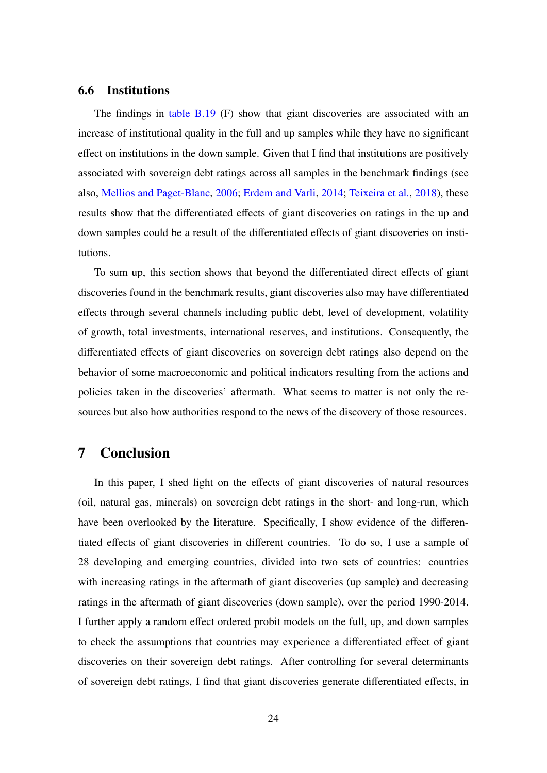#### 6.6 Institutions

The findings in [table B.19](#page-41-0) (F) show that giant discoveries are associated with an increase of institutional quality in the full and up samples while they have no significant effect on institutions in the down sample. Given that I find that institutions are positively associated with sovereign debt ratings across all samples in the benchmark findings (see also, [Mellios and Paget-Blanc,](#page-26-10) [2006;](#page-26-10) [Erdem and Varli,](#page-26-12) [2014;](#page-26-12) [Teixeira et al.,](#page-27-9) [2018\)](#page-27-9), these results show that the differentiated effects of giant discoveries on ratings in the up and down samples could be a result of the differentiated effects of giant discoveries on institutions.

To sum up, this section shows that beyond the differentiated direct effects of giant discoveries found in the benchmark results, giant discoveries also may have differentiated effects through several channels including public debt, level of development, volatility of growth, total investments, international reserves, and institutions. Consequently, the differentiated effects of giant discoveries on sovereign debt ratings also depend on the behavior of some macroeconomic and political indicators resulting from the actions and policies taken in the discoveries' aftermath. What seems to matter is not only the resources but also how authorities respond to the news of the discovery of those resources.

## <span id="page-23-0"></span>7 Conclusion

In this paper, I shed light on the effects of giant discoveries of natural resources (oil, natural gas, minerals) on sovereign debt ratings in the short- and long-run, which have been overlooked by the literature. Specifically, I show evidence of the differentiated effects of giant discoveries in different countries. To do so, I use a sample of 28 developing and emerging countries, divided into two sets of countries: countries with increasing ratings in the aftermath of giant discoveries (up sample) and decreasing ratings in the aftermath of giant discoveries (down sample), over the period 1990-2014. I further apply a random effect ordered probit models on the full, up, and down samples to check the assumptions that countries may experience a differentiated effect of giant discoveries on their sovereign debt ratings. After controlling for several determinants of sovereign debt ratings, I find that giant discoveries generate differentiated effects, in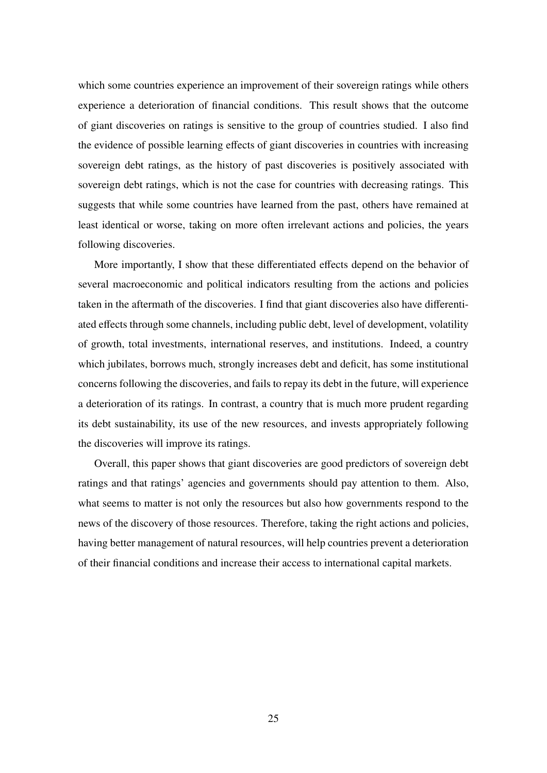which some countries experience an improvement of their sovereign ratings while others experience a deterioration of financial conditions. This result shows that the outcome of giant discoveries on ratings is sensitive to the group of countries studied. I also find the evidence of possible learning effects of giant discoveries in countries with increasing sovereign debt ratings, as the history of past discoveries is positively associated with sovereign debt ratings, which is not the case for countries with decreasing ratings. This suggests that while some countries have learned from the past, others have remained at least identical or worse, taking on more often irrelevant actions and policies, the years following discoveries.

More importantly, I show that these differentiated effects depend on the behavior of several macroeconomic and political indicators resulting from the actions and policies taken in the aftermath of the discoveries. I find that giant discoveries also have differentiated effects through some channels, including public debt, level of development, volatility of growth, total investments, international reserves, and institutions. Indeed, a country which jubilates, borrows much, strongly increases debt and deficit, has some institutional concerns following the discoveries, and fails to repay its debt in the future, will experience a deterioration of its ratings. In contrast, a country that is much more prudent regarding its debt sustainability, its use of the new resources, and invests appropriately following the discoveries will improve its ratings.

Overall, this paper shows that giant discoveries are good predictors of sovereign debt ratings and that ratings' agencies and governments should pay attention to them. Also, what seems to matter is not only the resources but also how governments respond to the news of the discovery of those resources. Therefore, taking the right actions and policies, having better management of natural resources, will help countries prevent a deterioration of their financial conditions and increase their access to international capital markets.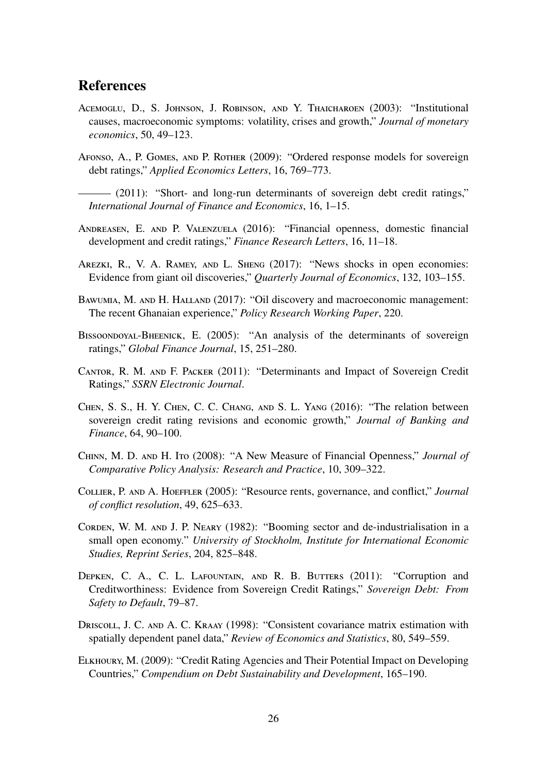## References

- <span id="page-25-3"></span>Acemoglu, D., S. Johnson, J. Robinson, and Y. Thaicharoen (2003): "Institutional causes, macroeconomic symptoms: volatility, crises and growth," *Journal of monetary economics*, 50, 49–123.
- <span id="page-25-11"></span>Afonso, A., P. Gomes, and P. Rother (2009): "Ordered response models for sovereign debt ratings," *Applied Economics Letters*, 16, 769–773.

<span id="page-25-9"></span> $-$  (2011): "Short- and long-run determinants of sovereign debt credit ratings," *International Journal of Finance and Economics*, 16, 1–15.

- <span id="page-25-10"></span>Andreasen, E. and P. Valenzuela (2016): "Financial openness, domestic financial development and credit ratings," *Finance Research Letters*, 16, 11–18.
- <span id="page-25-4"></span>Arezki, R., V. A. Ramey, and L. Sheng (2017): "News shocks in open economies: Evidence from giant oil discoveries," *Quarterly Journal of Economics*, 132, 103–155.
- <span id="page-25-2"></span>BAWUMIA, M. AND H. HALLAND (2017): "Oil discovery and macroeconomic management: The recent Ghanaian experience," *Policy Research Working Paper*, 220.
- <span id="page-25-7"></span>BISSOONDOYAL-BHEENICK, E. (2005): "An analysis of the determinants of sovereign ratings," *Global Finance Journal*, 15, 251–280.
- <span id="page-25-5"></span>Cantor, R. M. and F. Packer (2011): "Determinants and Impact of Sovereign Credit Ratings," *SSRN Electronic Journal*.
- <span id="page-25-6"></span>Chen, S. S., H. Y. Chen, C. C. Chang, and S. L. Yang (2016): "The relation between sovereign credit rating revisions and economic growth," *Journal of Banking and Finance*, 64, 90–100.
- <span id="page-25-13"></span>Chinn, M. D. and H. Ito (2008): "A New Measure of Financial Openness," *Journal of Comparative Policy Analysis: Research and Practice*, 10, 309–322.
- <span id="page-25-1"></span>Collier, P. and A. Hoeffler (2005): "Resource rents, governance, and conflict," *Journal of conflict resolution*, 49, 625–633.
- <span id="page-25-0"></span>Corden, W. M. and J. P. Neary (1982): "Booming sector and de-industrialisation in a small open economy." *University of Stockholm, Institute for International Economic Studies, Reprint Series*, 204, 825–848.
- <span id="page-25-8"></span>DEPKEN, C. A., C. L. LAFOUNTAIN, AND R. B. BUTTERS (2011): "Corruption and Creditworthiness: Evidence from Sovereign Credit Ratings," *Sovereign Debt: From Safety to Default*, 79–87.
- <span id="page-25-12"></span>Driscoll, J. C. and A. C. Kraay (1998): "Consistent covariance matrix estimation with spatially dependent panel data," *Review of Economics and Statistics*, 80, 549–559.
- <span id="page-25-14"></span>Elkhoury, M. (2009): "Credit Rating Agencies and Their Potential Impact on Developing Countries," *Compendium on Debt Sustainability and Development*, 165–190.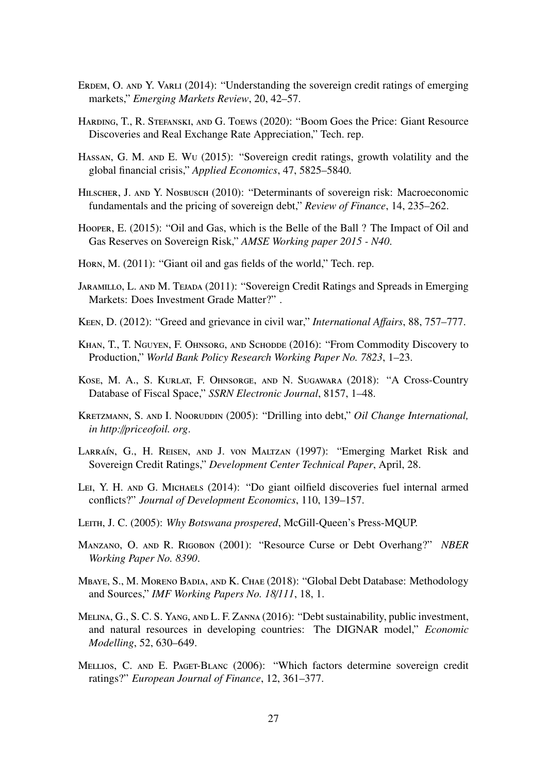- <span id="page-26-12"></span>ERDEM, O. AND Y. VARLI (2014): "Understanding the sovereign credit ratings of emerging markets," *Emerging Markets Review*, 20, 42–57.
- <span id="page-26-4"></span>Harding, T., R. Stefanski, and G. Toews (2020): "Boom Goes the Price: Giant Resource Discoveries and Real Exchange Rate Appreciation," Tech. rep.
- <span id="page-26-16"></span>Hassan, G. M. and E. Wu (2015): "Sovereign credit ratings, growth volatility and the global financial crisis," *Applied Economics*, 47, 5825–5840.
- <span id="page-26-13"></span>HILSCHER, J. AND Y. NOSBUSCH (2010): "Determinants of sovereign risk: Macroeconomic fundamentals and the pricing of sovereign debt," *Review of Finance*, 14, 235–262.
- <span id="page-26-6"></span>Hooper, E. (2015): "Oil and Gas, which is the Belle of the Ball ? The Impact of Oil and Gas Reserves on Sovereign Risk," *AMSE Working paper 2015 - N40*.
- <span id="page-26-15"></span>Horn, M. (2011): "Giant oil and gas fields of the world," Tech. rep.
- <span id="page-26-11"></span>JARAMILLO, L. AND M. TEJADA (2011): "Sovereign Credit Ratings and Spreads in Emerging Markets: Does Investment Grade Matter?" .
- <span id="page-26-1"></span>Keen, D. (2012): "Greed and grievance in civil war," *International A*ff*airs*, 88, 757–777.
- <span id="page-26-2"></span>KHAN, T., T. NGUYEN, F. OHNSORG, AND SCHODDE (2016): "From Commodity Discovery to Production," *World Bank Policy Research Working Paper No. 7823*, 1–23.
- <span id="page-26-14"></span>Kose, M. A., S. Kurlat, F. Ohnsorge, and N. Sugawara (2018): "A Cross-Country Database of Fiscal Space," *SSRN Electronic Journal*, 8157, 1–48.
- <span id="page-26-0"></span>KRETZMANN, S. AND I. NOORUDDIN (2005): "Drilling into debt," *Oil Change International*, *in http:*//*priceofoil. org*.
- <span id="page-26-9"></span>LARRAÍN, G., H. REISEN, AND J. VON MALTZAN (1997): "Emerging Market Risk and Sovereign Credit Ratings," *Development Center Technical Paper*, April, 28.
- <span id="page-26-5"></span>LEI, Y. H. AND G. MICHAELS (2014): "Do giant oilfield discoveries fuel internal armed conflicts?" *Journal of Development Economics*, 110, 139–157.
- <span id="page-26-3"></span>Leith, J. C. (2005): *Why Botswana prospered*, McGill-Queen's Press-MQUP.
- <span id="page-26-7"></span>Manzano, O. and R. Rigobon (2001): "Resource Curse or Debt Overhang?" *NBER Working Paper No. 8390*.
- <span id="page-26-17"></span>Mbaye, S., M. Moreno Badia, and K. Chae (2018): "Global Debt Database: Methodology and Sources," *IMF Working Papers No. 18*/*111*, 18, 1.
- <span id="page-26-8"></span>Melina, G., S. C. S. Yang, and L. F. Zanna (2016): "Debt sustainability, public investment, and natural resources in developing countries: The DIGNAR model," *Economic Modelling*, 52, 630–649.
- <span id="page-26-10"></span>MELLIOS, C. AND E. PAGET-BLANC (2006): "Which factors determine sovereign credit ratings?" *European Journal of Finance*, 12, 361–377.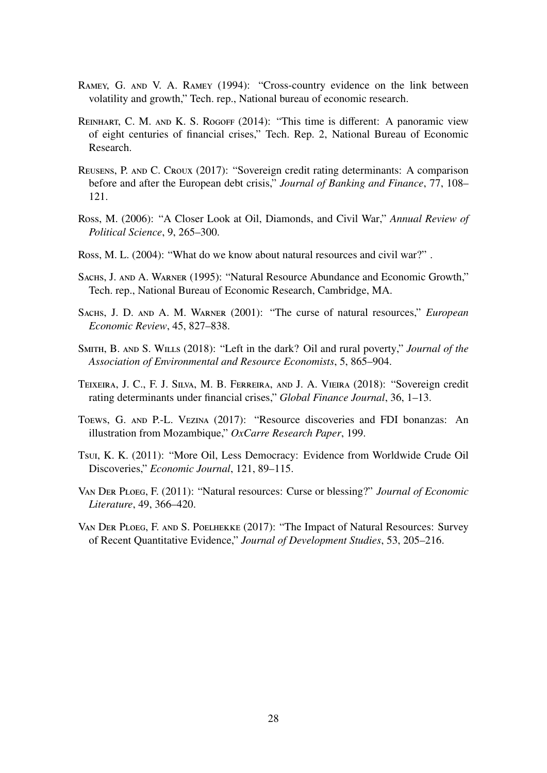- <span id="page-27-11"></span>Ramey, G. and V. A. Ramey (1994): "Cross-country evidence on the link between volatility and growth," Tech. rep., National bureau of economic research.
- <span id="page-27-12"></span>Reinhart, C. M. and K. S. Rogoff (2014): "This time is different: A panoramic view of eight centuries of financial crises," Tech. Rep. 2, National Bureau of Economic Research.
- <span id="page-27-10"></span>Reusens, P. and C. Croux (2017): "Sovereign credit rating determinants: A comparison before and after the European debt crisis," *Journal of Banking and Finance*, 77, 108– 121.
- <span id="page-27-3"></span>Ross, M. (2006): "A Closer Look at Oil, Diamonds, and Civil War," *Annual Review of Political Science*, 9, 265–300.
- <span id="page-27-2"></span>Ross, M. L. (2004): "What do we know about natural resources and civil war?" .
- <span id="page-27-0"></span>Sachs, J. and A. Warner (1995): "Natural Resource Abundance and Economic Growth," Tech. rep., National Bureau of Economic Research, Cambridge, MA.
- <span id="page-27-1"></span>Sachs, J. D. and A. M. Warner (2001): "The curse of natural resources," *European Economic Review*, 45, 827–838.
- <span id="page-27-7"></span>Smith, B. and S. Wills (2018): "Left in the dark? Oil and rural poverty," *Journal of the Association of Environmental and Resource Economists*, 5, 865–904.
- <span id="page-27-9"></span>Teixeira, J. C., F. J. Silva, M. B. Ferreira, and J. A. Vieira (2018): "Sovereign credit rating determinants under financial crises," *Global Finance Journal*, 36, 1–13.
- <span id="page-27-8"></span>Toews, G. and P.-L. Vezina (2017): "Resource discoveries and FDI bonanzas: An illustration from Mozambique," *OxCarre Research Paper*, 199.
- <span id="page-27-6"></span>Tsui, K. K. (2011): "More Oil, Less Democracy: Evidence from Worldwide Crude Oil Discoveries," *Economic Journal*, 121, 89–115.
- <span id="page-27-4"></span>Van Der Ploeg, F. (2011): "Natural resources: Curse or blessing?" *Journal of Economic Literature*, 49, 366–420.
- <span id="page-27-5"></span>Van Der Ploeg, F. and S. Poelhekke (2017): "The Impact of Natural Resources: Survey of Recent Quantitative Evidence," *Journal of Development Studies*, 53, 205–216.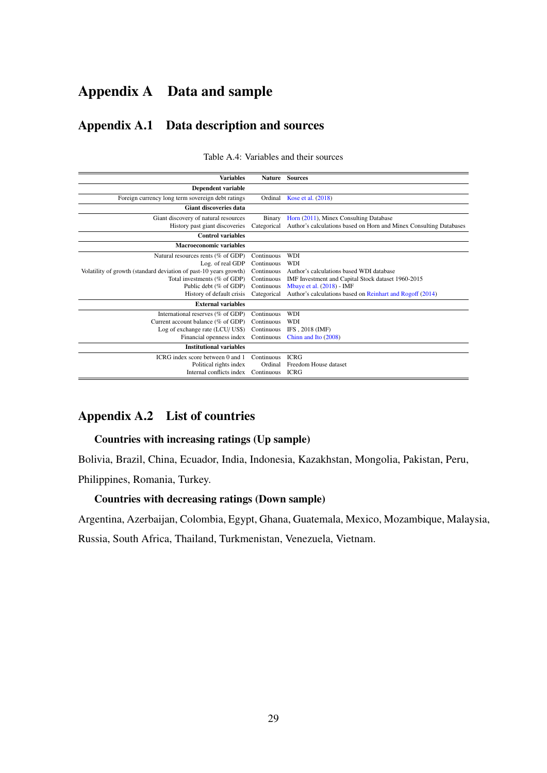## Appendix A Data and sample

## Appendix A.1 Data description and sources

<span id="page-28-0"></span>

| <b>Variables</b>                                                  | <b>Nature</b> | <b>Sources</b>                                                     |
|-------------------------------------------------------------------|---------------|--------------------------------------------------------------------|
| <b>Dependent variable</b>                                         |               |                                                                    |
| Foreign currency long term sovereign debt ratings                 | Ordinal       | Kose et al. (2018)                                                 |
| <b>Giant discoveries data</b>                                     |               |                                                                    |
| Giant discovery of natural resources                              | Binary        | Horn (2011), Minex Consulting Database                             |
| History past giant discoveries                                    | Categorical   | Author's calculations based on Horn and Minex Consulting Databases |
| <b>Control</b> variables                                          |               |                                                                    |
| <b>Macroeconomic variables</b>                                    |               |                                                                    |
| Natural resources rents (% of GDP)                                | Continuous    | <b>WDI</b>                                                         |
| Log. of real GDP                                                  | Continuous    | <b>WDI</b>                                                         |
| Volatility of growth (standard deviation of past-10 years growth) | Continuous    | Author's calculations based WDI database                           |
| Total investments (% of GDP)                                      | Continuous    | IMF Investment and Capital Stock dataset 1960-2015                 |
| Public debt (% of GDP)                                            | Continuous    | Mbaye et al. (2018) - IMF                                          |
| History of default crisis                                         | Categorical   | Author's calculations based on Reinhart and Rogoff (2014)          |
| <b>External variables</b>                                         |               |                                                                    |
| International reserves (% of GDP)                                 | Continuous    | <b>WDI</b>                                                         |
| Current account balance (% of GDP)                                | Continuous    | <b>WDI</b>                                                         |
| Log of exchange rate (LCU/ US\$)                                  | Continuous    | IFS, 2018 (IMF)                                                    |
| Financial openness index                                          | Continuous    | Chinn and Ito (2008)                                               |
| <b>Institutional variables</b>                                    |               |                                                                    |
| ICRG index score between 0 and 1                                  | Continuous    | <b>ICRG</b>                                                        |
| Political rights index                                            | Ordinal       | Freedom House dataset                                              |
| Internal conflicts index                                          | Continuous    | <b>ICRG</b>                                                        |

Table A.4: Variables and their sources

### Appendix A.2 List of countries

#### Countries with increasing ratings (Up sample)

Bolivia, Brazil, China, Ecuador, India, Indonesia, Kazakhstan, Mongolia, Pakistan, Peru,

Philippines, Romania, Turkey.

#### Countries with decreasing ratings (Down sample)

Argentina, Azerbaijan, Colombia, Egypt, Ghana, Guatemala, Mexico, Mozambique, Malaysia,

Russia, South Africa, Thailand, Turkmenistan, Venezuela, Vietnam.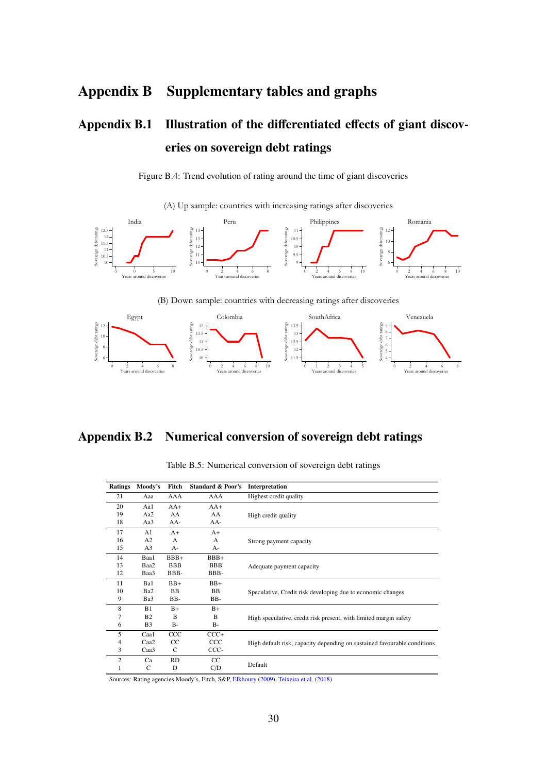## Appendix B Supplementary tables and graphs

# Appendix B.1 Illustration of the differentiated effects of giant discoveries on sovereign debt ratings

Figure B.4: Trend evolution of rating around the time of giant discoveries

(A) Up sample: countries with increasing ratings after discoveries

<span id="page-29-1"></span>





### <span id="page-29-0"></span>Appendix B.2 Numerical conversion of sovereign debt ratings

| <b>Ratings</b> | Moody's          | Fitch      | <b>Standard &amp; Poor's</b> | Interpretation                                                           |  |  |  |  |
|----------------|------------------|------------|------------------------------|--------------------------------------------------------------------------|--|--|--|--|
| 21             | Aaa              | AAA        | AAA                          | Highest credit quality                                                   |  |  |  |  |
| 20             | Aal              | $AA+$      | $AA+$                        |                                                                          |  |  |  |  |
| 19             | Aa2              | AA         | AA                           | High credit quality                                                      |  |  |  |  |
| 18             | Aa3              | AA-        | $AA-$                        |                                                                          |  |  |  |  |
| 17             | A <sub>1</sub>   | $A+$       | $A+$                         |                                                                          |  |  |  |  |
| 16             | A2               | A          | A                            | Strong payment capacity                                                  |  |  |  |  |
| 15             | A <sub>3</sub>   | $A-$       | $A-$                         |                                                                          |  |  |  |  |
| 14             | Baa1             | $BBB+$     | $BBB+$                       |                                                                          |  |  |  |  |
| 13             | Baa2             | <b>BBB</b> | <b>BBB</b>                   | Adequate payment capacity                                                |  |  |  |  |
| 12             | Baa3             | BBB-       | BBB-                         |                                                                          |  |  |  |  |
| 11             | Ba1              | $BB+$      | $BB+$                        |                                                                          |  |  |  |  |
| 10             | Ba2              | <b>BB</b>  | <b>BB</b>                    | Speculative, Credit risk developing due to economic changes              |  |  |  |  |
| 9              | Ba3              | BB-        | BB-                          |                                                                          |  |  |  |  |
| 8              | B1               | $B+$       | $B+$                         |                                                                          |  |  |  |  |
| 7              | B <sub>2</sub>   | B          | B                            | High speculative, credit risk present, with limited margin safety        |  |  |  |  |
| 6              | B <sub>3</sub>   | $B -$      | $B-$                         |                                                                          |  |  |  |  |
| 5              | Caa1             | CCC        | $CCC+$                       |                                                                          |  |  |  |  |
| 4              | Caa <sub>2</sub> | CC         | ccc                          | High default risk, capacity depending on sustained favourable conditions |  |  |  |  |
| 3              | Caa3             | C          | CCC-                         |                                                                          |  |  |  |  |
| $\overline{c}$ | Ca               | <b>RD</b>  | CC                           |                                                                          |  |  |  |  |
| 1              | C                | D          | C/D                          | Default                                                                  |  |  |  |  |
|                |                  |            |                              |                                                                          |  |  |  |  |

Table B.5: Numerical conversion of sovereign debt ratings

Sources: Rating agencies Moody's, Fitch, S&P, [Elkhoury](#page-25-14) [\(2009\)](#page-25-14), [Teixeira et al.](#page-27-9) [\(2018\)](#page-27-9)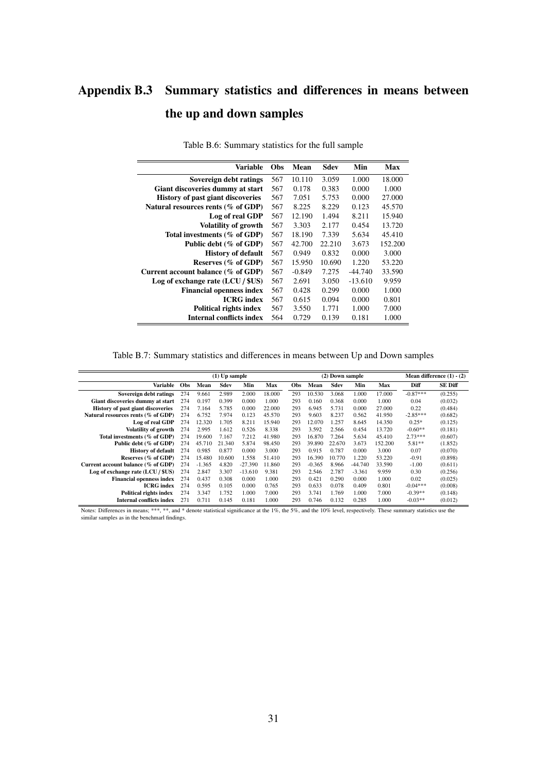# <span id="page-30-0"></span>Appendix B.3 Summary statistics and differences in means between the up and down samples

| Variable                                 | <b>Obs</b> | Mean     | Sdev   | Min       | Max     |
|------------------------------------------|------------|----------|--------|-----------|---------|
| Sovereign debt ratings                   | 567        | 10.110   | 3.059  | 1.000     | 18.000  |
| Giant discoveries dummy at start         | 567        | 0.178    | 0.383  | 0.000     | 1.000   |
| <b>History of past giant discoveries</b> | 567        | 7.051    | 5.753  | 0.000     | 27,000  |
| Natural resources rents (% of GDP)       | 567        | 8.225    | 8.229  | 0.123     | 45.570  |
| Log of real GDP                          | 567        | 12.190   | 1.494  | 8.211     | 15.940  |
| <b>Volatility of growth</b>              | 567        | 3.303    | 2.177  | 0.454     | 13.720  |
| Total investments (% of GDP)             | 567        | 18.190   | 7.339  | 5.634     | 45.410  |
| Public debt (% of GDP)                   | 567        | 42.700   | 22.210 | 3.673     | 152.200 |
| <b>History of default</b>                | 567        | 0.949    | 0.832  | 0.000     | 3.000   |
| Reserves (% of GDP)                      | 567        | 15.950   | 10.690 | 1.220     | 53.220  |
| Current account balance ( $\%$ of GDP)   | 567        | $-0.849$ | 7.275  | -44.740   | 33.590  |
| Log of exchange rate $(LCU / $US)$       | 567        | 2.691    | 3.050  | $-13.610$ | 9.959   |
| <b>Financial openness index</b>          | 567        | 0.428    | 0.299  | 0.000     | 1.000   |
| <b>ICRG</b> index                        | 567        | 0.615    | 0.094  | 0.000     | 0.801   |
| <b>Political rights index</b>            | 567        | 3.550    | 1.771  | 1.000     | 7.000   |
| <b>Internal conflicts index</b>          | 564        | 0.729    | 0.139  | 0.181     | 1.000   |

Table B.6: Summary statistics for the full sample

Table B.7: Summary statistics and differences in means between Up and Down samples

<span id="page-30-1"></span>

|                                          |            | $(1)$ Up sample |        |           |        |     | (2) Down sample |        |           |         | Mean difference $(1) - (2)$ |                |
|------------------------------------------|------------|-----------------|--------|-----------|--------|-----|-----------------|--------|-----------|---------|-----------------------------|----------------|
| Variable                                 | <b>Obs</b> | Mean            | Sdev   | Min       | Max    | Obs | Mean            | Sdev   | Min       | Max     | Diff                        | <b>SE Diff</b> |
| Sovereign debt ratings                   | 274        | 9.661           | 2.989  | 2.000     | 18.000 | 293 | 10.530          | 3.068  | 1.000     | 17.000  | $-0.87***$                  | (0.255)        |
| Giant discoveries dummy at start         | 274        | 0.197           | 0.399  | 0.000     | 1.000  | 293 | 0.160           | 0.368  | 0.000     | 1.000   | 0.04                        | (0.032)        |
| <b>History of past giant discoveries</b> | 274        | 7.164           | 5.785  | 0.000     | 22,000 | 293 | 6.945           | 5.731  | 0.000     | 27.000  | 0.22                        | (0.484)        |
| Natural resources rents (% of GDP)       | 274        | 6.752           | 7.974  | 0.123     | 45.570 | 293 | 9.603           | 8.237  | 0.562     | 41.950  | $-2.85***$                  | (0.682)        |
| Log of real GDP                          | 274        | 12.320          | 1.705  | 8.211     | 15.940 | 293 | 12.070          | 1.257  | 8.645     | 14.350  | $0.25*$                     | (0.125)        |
| <b>Volatility of growth</b>              | 274        | 2.995           | 1.612  | 0.526     | 8.338  | 293 | 3.592           | 2.566  | 0.454     | 13.720  | $-0.60**$                   | (0.181)        |
| Total investments (% of GDP)             | 274        | 19.600          | 7.167  | 7.212     | 41.980 | 293 | 16.870          | 7.264  | 5.634     | 45.410  | $2.73***$                   | (0.607)        |
| Public debt (% of GDP)                   | 274        | 45.710          | 21.340 | 5.874     | 98.450 | 293 | 39.890          | 22.670 | 3.673     | 152.200 | 5.81**                      | (1.852)        |
| <b>History of default</b>                | 274        | 0.985           | 0.877  | 0.000     | 3.000  | 293 | 0.915           | 0.787  | 0.000     | 3.000   | 0.07                        | (0.070)        |
| Reserves (% of GDP)                      | 274        | 15.480          | 10.600 | 1.558     | 51.410 | 293 | 16.390          | 10.770 | 1.220     | 53.220  | $-0.91$                     | (0.898)        |
| Current account balance (% of GDP)       | 274        | $-1.365$        | 4.820  | $-27.390$ | 11.860 | 293 | $-0.365$        | 8.966  | $-44.740$ | 33.590  | $-1.00$                     | (0.611)        |
| Log of exchange rate (LCU / \$US)        | 274        | 2.847           | 3.307  | $-13.610$ | 9.381  | 293 | 2.546           | 2.787  | $-3.361$  | 9.959   | 0.30                        | (0.256)        |
| <b>Financial openness index</b>          | 274        | 0.437           | 0.308  | 0.000     | 1.000  | 293 | 0.421           | 0.290  | 0.000     | 1.000   | 0.02                        | (0.025)        |
| <b>ICRG</b> index                        | 274        | 0.595           | 0.105  | 0.000     | 0.765  | 293 | 0.633           | 0.078  | 0.409     | 0.801   | $-0.04***$                  | (0.008)        |
| <b>Political rights index</b>            | 274        | 3.347           | 1.752  | 1.000     | 7.000  | 293 | 3.741           | 1.769  | 1.000     | 7.000   | $-0.39**$                   | (0.148)        |
| <b>Internal conflicts index</b>          | 271        | 0.711           | 0.145  | 0.181     | 1.000  | 293 | 0.746           | 0.132  | 0.285     | 1.000   | $-0.03**$                   | (0.012)        |

Notes: Differences in means; \*\*\*, \*\*, and \* denote statistical significance at the 1%, the 5%, and the 10% level, respectively. These summary statistics use the similar samples as in the benchmarl findings.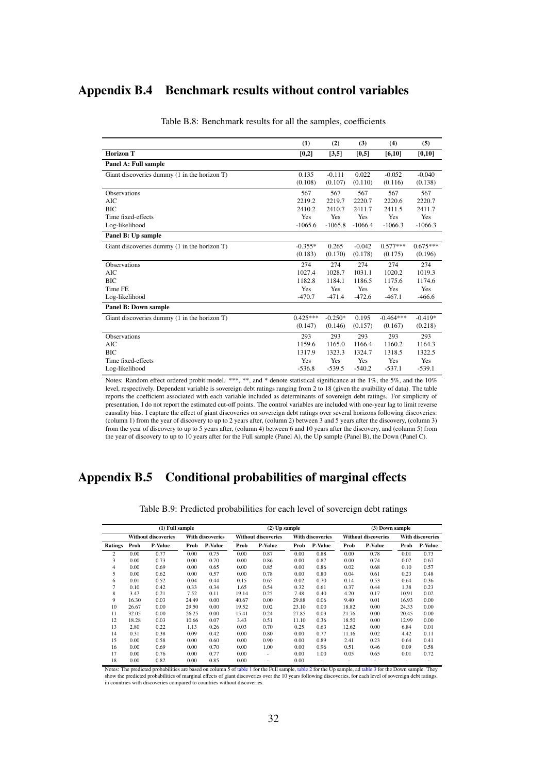## <span id="page-31-1"></span>Appendix B.4 Benchmark results without control variables

|                                              | (1)        | (2)       | (3)       | (4)         | (5)        |
|----------------------------------------------|------------|-----------|-----------|-------------|------------|
| <b>Horizon T</b>                             | [0,2]      | [3,5]     | [0,5]     | [6, 10]     | [0, 10]    |
| Panel A: Full sample                         |            |           |           |             |            |
| Giant discoveries dummy (1 in the horizon T) | 0.135      | $-0.111$  | 0.022     | $-0.052$    | $-0.040$   |
|                                              | (0.108)    | (0.107)   | (0.110)   | (0.116)     | (0.138)    |
| <b>Observations</b>                          | 567        | 567       | 567       | 567         | 567        |
| AIC                                          | 2219.2     | 2219.7    | 2220.7    | 2220.6      | 2220.7     |
| <b>BIC</b>                                   | 2410.2     | 2410.7    | 2411.7    | 2411.5      | 2411.7     |
| Time fixed-effects                           | Yes        | Yes       | Yes       | Yes         | Yes        |
| Log-likelihood                               | $-1065.6$  | $-1065.8$ | $-1066.4$ | $-1066.3$   | $-1066.3$  |
| Panel B: Up sample                           |            |           |           |             |            |
| Giant discoveries dummy (1 in the horizon T) | $-0.355*$  | 0.265     | $-0.042$  | $0.577***$  | $0.675***$ |
|                                              | (0.183)    | (0.170)   | (0.178)   | (0.175)     | (0.196)    |
| <b>Observations</b>                          | 274        | 274       | 274       | 274         | 274        |
| AIC                                          | 1027.4     | 1028.7    | 1031.1    | 1020.2      | 1019.3     |
| <b>BIC</b>                                   | 1182.8     | 1184.1    | 1186.5    | 1175.6      | 1174.6     |
| Time FE                                      | <b>Yes</b> | Yes       | Yes       | Yes         | Yes        |
| Log-likelihood                               | $-470.7$   | $-471.4$  | $-472.6$  | $-467.1$    | $-466.6$   |
| Panel B: Down sample                         |            |           |           |             |            |
| Giant discoveries dummy (1 in the horizon T) | $0.425***$ | $-0.250*$ | 0.195     | $-0.464***$ | $-0.419*$  |
|                                              | (0.147)    | (0.146)   | (0.157)   | (0.167)     | (0.218)    |
| <b>Observations</b>                          | 293        | 293       | 293       | 293         | 293        |
| <b>AIC</b>                                   | 1159.6     | 1165.0    | 1166.4    | 1160.2      | 1164.3     |
| <b>BIC</b>                                   | 1317.9     | 1323.3    | 1324.7    | 1318.5      | 1322.5     |
| Time fixed-effects                           | Yes        | Yes       | Yes       | Yes         | Yes        |
| Log-likelihood                               | $-536.8$   | $-539.5$  | $-540.2$  | $-537.1$    | $-539.1$   |

Table B.8: Benchmark results for all the samples, coefficients

Notes: Random effect ordered probit model. \*\*\*, \*\*, and \* denote statistical significance at the 1%, the 5%, and the 10% level, respectively. Dependent variable is sovereign debt ratings ranging from 2 to 18 (given the avaibility of data). The table reports the coefficient associated with each variable included as determinants of sovereign debt ratings. For simplicity of presentation, I do not report the estimated cut-off points. The control variables are included with one-year lag to limit reverse causality bias. I capture the effect of giant discoveries on sovereign debt ratings over several horizons following discoveries: (column 1) from the year of discovery to up to 2 years after, (column 2) between 3 and 5 years after the discovery, (column 3) from the year of discovery to up to 5 years after, (column 4) between 6 and 10 years after the discovery, and (column 5) from the year of discovery to up to 10 years after for the Full sample (Panel A), the Up sample (Panel B), the Down (Panel C).

### <span id="page-31-0"></span>Appendix B.5 Conditional probabilities of marginal effects

| (1) Full sample |       |                            |       |                         |                            | $(2)$ Up sample |                         |                | (3) Down sample            |                |                         |                |
|-----------------|-------|----------------------------|-------|-------------------------|----------------------------|-----------------|-------------------------|----------------|----------------------------|----------------|-------------------------|----------------|
|                 |       | <b>Without discoveries</b> |       | <b>With discoveries</b> | <b>Without discoveries</b> |                 | <b>With discoveries</b> |                | <b>Without discoveries</b> |                | <b>With discoveries</b> |                |
| <b>Ratings</b>  | Prob  | <b>P-Value</b>             | Prob  | <b>P-Value</b>          | Prob                       | <b>P-Value</b>  | Prob                    | <b>P-Value</b> | Prob                       | <b>P-Value</b> | Prob                    | <b>P-Value</b> |
| 2               | 0.00  | 0.77                       | 0.00  | 0.75                    | 0.00                       | 0.87            | 0.00                    | 0.88           | 0.00                       | 0.78           | 0.01                    | 0.73           |
| 3               | 0.00  | 0.73                       | 0.00  | 0.70                    | 0.00                       | 0.86            | 0.00                    | 0.87           | 0.00                       | 0.74           | 0.02                    | 0.67           |
| 4               | 0.00  | 0.69                       | 0.00  | 0.65                    | 0.00                       | 0.85            | 0.00                    | 0.86           | 0.02                       | 0.68           | 0.10                    | 0.57           |
| 5               | 0.00  | 0.62                       | 0.00  | 0.57                    | 0.00                       | 0.78            | 0.00                    | 0.80           | 0.04                       | 0.61           | 0.23                    | 0.48           |
| 6               | 0.01  | 0.52                       | 0.04  | 0.44                    | 0.15                       | 0.65            | 0.02                    | 0.70           | 0.14                       | 0.53           | 0.64                    | 0.36           |
| $\overline{7}$  | 0.10  | 0.42                       | 0.33  | 0.34                    | 1.65                       | 0.54            | 0.32                    | 0.61           | 0.37                       | 0.44           | 1.38                    | 0.23           |
| 8               | 3.47  | 0.21                       | 7.52  | 0.11                    | 19.14                      | 0.25            | 7.48                    | 0.40           | 4.20                       | 0.17           | 10.91                   | 0.02           |
| 9               | 16.30 | 0.03                       | 24.49 | 0.00                    | 40.67                      | 0.00            | 29.88                   | 0.06           | 9.40                       | 0.01           | 16.93                   | 0.00           |
| 10              | 26.67 | 0.00                       | 29.50 | 0.00                    | 19.52                      | 0.02            | 23.10                   | 0.00           | 18.82                      | 0.00           | 24.33                   | 0.00           |
| 11              | 32.05 | 0.00                       | 26.25 | 0.00                    | 15.41                      | 0.24            | 27.85                   | 0.03           | 21.76                      | 0.00           | 20.45                   | 0.00           |
| 12              | 18.28 | 0.03                       | 10.66 | 0.07                    | 3.43                       | 0.51            | 11.10                   | 0.36           | 18.50                      | 0.00           | 12.99                   | 0.00           |
| 13              | 2.80  | 0.22                       | 1.13  | 0.26                    | 0.03                       | 0.70            | 0.25                    | 0.63           | 12.62                      | 0.00           | 6.84                    | 0.01           |
| 14              | 0.31  | 0.38                       | 0.09  | 0.42                    | 0.00                       | 0.80            | 0.00                    | 0.77           | 11.16                      | 0.02           | 4.42                    | 0.11           |
| 15              | 0.00  | 0.58                       | 0.00  | 0.60                    | 0.00                       | 0.90            | 0.00                    | 0.89           | 2.41                       | 0.23           | 0.64                    | 0.41           |
| 16              | 0.00  | 0.69                       | 0.00  | 0.70                    | 0.00                       | 1.00            | 0.00                    | 0.96           | 0.51                       | 0.46           | 0.09                    | 0.58           |
| 17              | 0.00  | 0.76                       | 0.00  | 0.77                    | 0.00                       | ٠               | 0.00                    | 1.00           | 0.05                       | 0.65           | 0.01                    | 0.72           |
| 18              | 0.00  | 0.82                       | 0.00  | 0.85                    | 0.00                       | ۰               | 0.00                    | ۰              | ۰                          |                |                         |                |

Table B.9: Predicted probabilities for each level of sovereign debt ratings

Notes: The predicted probabilities are based on column 5 of [table 1](#page-14-0) for the Full sample, [table 2](#page-15-0) for the Up sample, ad [table 3](#page-17-0) for the Down sample. They Notes. The predicted probabilities of marginal effects of giant discoveries over the 10 years following discoveries, for each level of sovereign debt ratings, show the predicted probabilities of marginal effects of giant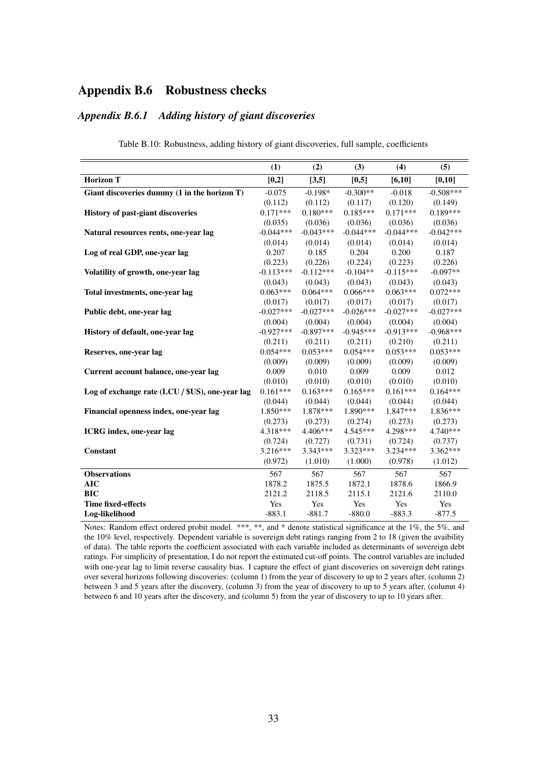## Appendix B.6 Robustness checks

#### <span id="page-32-0"></span>*Appendix B.6.1 Adding history of giant discoveries*

|                                                 | (1)         | (2)         | (3)         | (4)         | (5)         |
|-------------------------------------------------|-------------|-------------|-------------|-------------|-------------|
|                                                 |             |             |             |             |             |
| <b>Horizon T</b>                                | [0,2]       | [3,5]       | [0,5]       | [6,10]      | [0, 10]     |
| Giant discoveries dummy (1 in the horizon T)    | $-0.075$    | $-0.198*$   | $-0.300**$  | $-0.018$    | $-0.508***$ |
|                                                 | (0.112)     | (0.112)     | (0.117)     | (0.120)     | (0.149)     |
| History of past-giant discoveries               | $0.171***$  | $0.180***$  | $0.185***$  | $0.171***$  | $0.189***$  |
|                                                 | (0.035)     | (0.036)     | (0.036)     | (0.036)     | (0.036)     |
| Natural resources rents, one-year lag           | $-0.044***$ | $-0.043***$ | $-0.044***$ | $-0.044***$ | $-0.042***$ |
|                                                 | (0.014)     | (0.014)     | (0.014)     | (0.014)     | (0.014)     |
| Log of real GDP, one-year lag                   | 0.207       | 0.185       | 0.204       | 0.200       | 0.187       |
|                                                 | (0.223)     | (0.226)     | (0.224)     | (0.223)     | (0.226)     |
| Volatility of growth, one-year lag              | $-0.113***$ | $-0.112***$ | $-0.104**$  | $-0.115***$ | $-0.097**$  |
|                                                 | (0.043)     | (0.043)     | (0.043)     | (0.043)     | (0.043)     |
| Total investments, one-year lag                 | $0.063***$  | $0.064***$  | $0.066***$  | $0.063***$  | $0.072***$  |
|                                                 | (0.017)     | (0.017)     | (0.017)     | (0.017)     | (0.017)     |
| Public debt, one-year lag                       | $-0.027***$ | $-0.027***$ | $-0.026***$ | $-0.027***$ | $-0.027***$ |
|                                                 | (0.004)     | (0.004)     | (0.004)     | (0.004)     | (0.004)     |
| History of default, one-year lag                | $-0.927***$ | $-0.897***$ | $-0.945***$ | $-0.913***$ | $-0.968***$ |
|                                                 | (0.211)     | (0.211)     | (0.211)     | (0.210)     | (0.211)     |
| Reserves, one-year lag                          | $0.054***$  | $0.053***$  | $0.054***$  | $0.053***$  | $0.053***$  |
|                                                 | (0.009)     | (0.009)     | (0.009)     | (0.009)     | (0.009)     |
| Current account balance, one-year lag           | 0.009       | 0.010       | 0.009       | 0.009       | 0.012       |
|                                                 | (0.010)     | (0.010)     | (0.010)     | (0.010)     | (0.010)     |
| Log of exchange rate (LCU / \$US), one-year lag | $0.161***$  | $0.163***$  | $0.165***$  | $0.161***$  | $0.164***$  |
|                                                 | (0.044)     | (0.044)     | (0.044)     | (0.044)     | (0.044)     |
| Financial openness index, one-year lag          | 1.850***    | 1.878***    | 1.890***    | 1.847***    | 1.836***    |
|                                                 | (0.273)     | (0.273)     | (0.274)     | (0.273)     | (0.273)     |
| ICRG index, one-year lag                        | 4.318***    | $4.406***$  | $4.545***$  | 4.298***    | 4.740***    |
|                                                 | (0.724)     | (0.727)     | (0.731)     | (0.724)     | (0.737)     |
| Constant                                        | $3.216***$  | $3.343***$  | 3.323 ***   | $3.234***$  | $3.362***$  |
|                                                 | (0.972)     | (1.010)     | (1.000)     | (0.978)     | (1.012)     |
| <b>Observations</b>                             | 567         | 567         | 567         | 567         | 567         |
| <b>AIC</b>                                      | 1878.2      | 1875.5      | 1872.1      | 1878.6      | 1866.9      |
| <b>BIC</b>                                      | 2121.2      | 2118.5      | 2115.1      | 2121.6      | 2110.0      |
| <b>Time fixed-effects</b>                       | Yes         | Yes         | Yes         | Yes         | Yes         |
| Log-likelihood                                  | $-883.1$    | $-881.7$    | $-880.0$    | $-883.3$    | $-877.5$    |

Table B.10: Robustness, adding history of giant discoveries, full sample, coefficients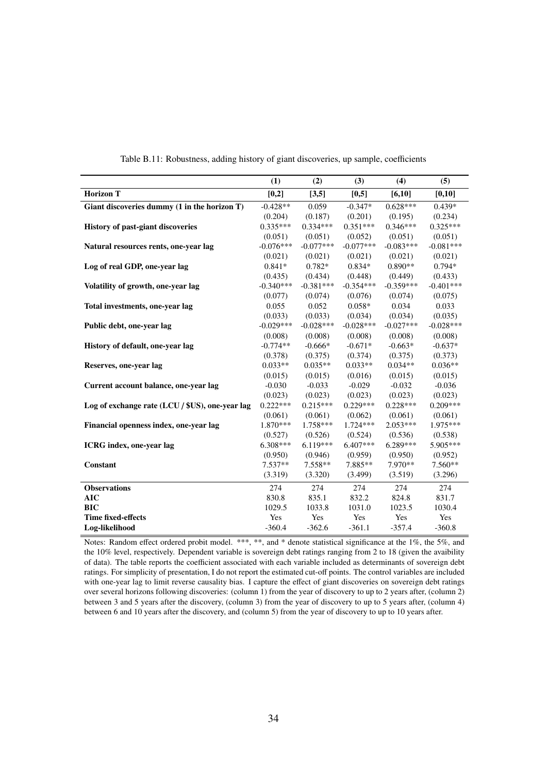|                                                 | (1)         | (2)         | (3)         | (4)         | (5)         |
|-------------------------------------------------|-------------|-------------|-------------|-------------|-------------|
| <b>Horizon T</b>                                | [0,2]       | [3,5]       | [0,5]       | [6,10]      | [0,10]      |
| Giant discoveries dummy (1 in the horizon T)    | $-0.428**$  | 0.059       | $-0.347*$   | $0.628***$  | $0.439*$    |
|                                                 | (0.204)     | (0.187)     | (0.201)     | (0.195)     | (0.234)     |
| <b>History of past-giant discoveries</b>        | $0.335***$  | $0.334***$  | $0.351***$  | $0.346***$  | $0.325***$  |
|                                                 | (0.051)     | (0.051)     | (0.052)     | (0.051)     | (0.051)     |
| Natural resources rents, one-year lag           | $-0.076***$ | $-0.077***$ | $-0.077***$ | $-0.083***$ | $-0.081***$ |
|                                                 | (0.021)     | (0.021)     | (0.021)     | (0.021)     | (0.021)     |
| Log of real GDP, one-year lag                   | $0.841*$    | $0.782*$    | $0.834*$    | $0.890**$   | $0.794*$    |
|                                                 | (0.435)     | (0.434)     | (0.448)     | (0.449)     | (0.433)     |
| Volatility of growth, one-year lag              | $-0.340***$ | $-0.381***$ | $-0.354***$ | $-0.359***$ | $-0.401***$ |
|                                                 | (0.077)     | (0.074)     | (0.076)     | (0.074)     | (0.075)     |
| Total investments, one-year lag                 | 0.055       | 0.052       | $0.058*$    | 0.034       | 0.033       |
|                                                 | (0.033)     | (0.033)     | (0.034)     | (0.034)     | (0.035)     |
| Public debt, one-year lag                       | $-0.029***$ | $-0.028***$ | $-0.028***$ | $-0.027***$ | $-0.028***$ |
|                                                 | (0.008)     | (0.008)     | (0.008)     | (0.008)     | (0.008)     |
| History of default, one-year lag                | $-0.774**$  | $-0.666*$   | $-0.671*$   | $-0.663*$   | $-0.637*$   |
|                                                 | (0.378)     | (0.375)     | (0.374)     | (0.375)     | (0.373)     |
| Reserves, one-year lag                          | $0.033**$   | $0.035**$   | $0.033**$   | $0.034**$   | $0.036**$   |
|                                                 | (0.015)     | (0.015)     | (0.016)     | (0.015)     | (0.015)     |
| Current account balance, one-year lag           | $-0.030$    | $-0.033$    | $-0.029$    | $-0.032$    | $-0.036$    |
|                                                 | (0.023)     | (0.023)     | (0.023)     | (0.023)     | (0.023)     |
| Log of exchange rate (LCU / \$US), one-year lag | $0.222***$  | $0.215***$  | $0.229***$  | $0.228***$  | $0.209***$  |
|                                                 | (0.061)     | (0.061)     | (0.062)     | (0.061)     | (0.061)     |
| Financial openness index, one-year lag          | $1.870***$  | 1.758***    | $1.724***$  | $2.053***$  | 1.975***    |
|                                                 | (0.527)     | (0.526)     | (0.524)     | (0.536)     | (0.538)     |
| ICRG index, one-year lag                        | $6.308***$  | $6.119***$  | $6.407***$  | $6.289***$  | 5.905***    |
|                                                 | (0.950)     | (0.946)     | (0.959)     | (0.950)     | (0.952)     |
| Constant                                        | $7.537**$   | $7.558**$   | 7.885**     | 7.970**     | $7.560**$   |
|                                                 | (3.319)     | (3.320)     | (3.499)     | (3.519)     | (3.296)     |
| <b>Observations</b>                             | 274         | 274         | 274         | 274         | 274         |
| AIC                                             | 830.8       | 835.1       | 832.2       | 824.8       | 831.7       |
| <b>BIC</b>                                      | 1029.5      | 1033.8      | 1031.0      | 1023.5      | 1030.4      |
| <b>Time fixed-effects</b>                       | Yes         | Yes         | Yes         | Yes         | Yes         |
| Log-likelihood                                  | $-360.4$    | $-362.6$    | $-361.1$    | $-357.4$    | $-360.8$    |

Table B.11: Robustness, adding history of giant discoveries, up sample, coefficients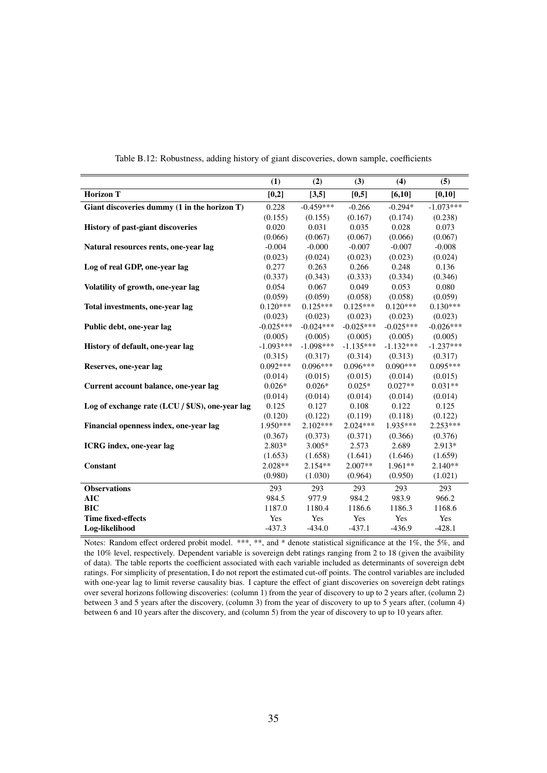<span id="page-34-0"></span>

|                                                 | (1)         | (2)         | (3)         | (4)         | (5)         |
|-------------------------------------------------|-------------|-------------|-------------|-------------|-------------|
| <b>Horizon T</b>                                | $[0,2]$     | [3,5]       | [0,5]       | [6,10]      | [0, 10]     |
| Giant discoveries dummy (1 in the horizon T)    | 0.228       | $-0.459***$ | $-0.266$    | $-0.294*$   | $-1.073***$ |
|                                                 | (0.155)     | (0.155)     | (0.167)     | (0.174)     | (0.238)     |
| History of past-giant discoveries               | 0.020       | 0.031       | 0.035       | 0.028       | 0.073       |
|                                                 | (0.066)     | (0.067)     | (0.067)     | (0.066)     | (0.067)     |
| Natural resources rents, one-year lag           | $-0.004$    | $-0.000$    | $-0.007$    | $-0.007$    | $-0.008$    |
|                                                 | (0.023)     | (0.024)     | (0.023)     | (0.023)     | (0.024)     |
| Log of real GDP, one-year lag                   | 0.277       | 0.263       | 0.266       | 0.248       | 0.136       |
|                                                 | (0.337)     | (0.343)     | (0.333)     | (0.334)     | (0.346)     |
| Volatility of growth, one-year lag              | 0.054       | 0.067       | 0.049       | 0.053       | 0.080       |
|                                                 | (0.059)     | (0.059)     | (0.058)     | (0.058)     | (0.059)     |
| Total investments, one-year lag                 | $0.120***$  | $0.125***$  | $0.125***$  | $0.120***$  | $0.130***$  |
|                                                 | (0.023)     | (0.023)     | (0.023)     | (0.023)     | (0.023)     |
| Public debt, one-year lag                       | $-0.025***$ | $-0.024***$ | $-0.025***$ | $-0.025***$ | $-0.026***$ |
|                                                 | (0.005)     | (0.005)     | (0.005)     | (0.005)     | (0.005)     |
| History of default, one-year lag                | $-1.093***$ | $-1.098***$ | $-1.135***$ | $-1.132***$ | $-1.237***$ |
|                                                 | (0.315)     | (0.317)     | (0.314)     | (0.313)     | (0.317)     |
| Reserves, one-year lag                          | $0.092***$  | $0.096***$  | $0.096***$  | $0.090***$  | $0.095***$  |
|                                                 | (0.014)     | (0.015)     | (0.015)     | (0.014)     | (0.015)     |
| Current account balance, one-year lag           | $0.026*$    | $0.026*$    | $0.025*$    | $0.027**$   | $0.031**$   |
|                                                 | (0.014)     | (0.014)     | (0.014)     | (0.014)     | (0.014)     |
| Log of exchange rate (LCU / \$US), one-year lag | 0.125       | 0.127       | 0.108       | 0.122       | 0.125       |
|                                                 | (0.120)     | (0.122)     | (0.119)     | (0.118)     | (0.122)     |
| Financial openness index, one-year lag          | $1.950***$  | $2.102***$  | $2.024***$  | $1.935***$  | $2.253***$  |
|                                                 | (0.367)     | (0.373)     | (0.371)     | (0.366)     | (0.376)     |
| <b>ICRG</b> index, one-year lag                 | 2.803*      | $3.005*$    | 2.573       | 2.689       | 2.913*      |
|                                                 | (1.653)     | (1.658)     | (1.641)     | (1.646)     | (1.659)     |
| Constant                                        | $2.028**$   | $2.154**$   | $2.007**$   | $1.961**$   | $2.140**$   |
|                                                 | (0.980)     | (1.030)     | (0.964)     | (0.950)     | (1.021)     |
| <b>Observations</b>                             | 293         | 293         | 293         | 293         | 293         |
| AIC                                             | 984.5       | 977.9       | 984.2       | 983.9       | 966.2       |
| <b>BIC</b>                                      | 1187.0      | 1180.4      | 1186.6      | 1186.3      | 1168.6      |
| <b>Time fixed-effects</b>                       | Yes         | Yes         | Yes         | Yes         | Yes         |
| Log-likelihood                                  | $-437.3$    | $-434.0$    | $-437.1$    | $-436.9$    | $-428.1$    |

Table B.12: Robustness, adding history of giant discoveries, down sample, coefficients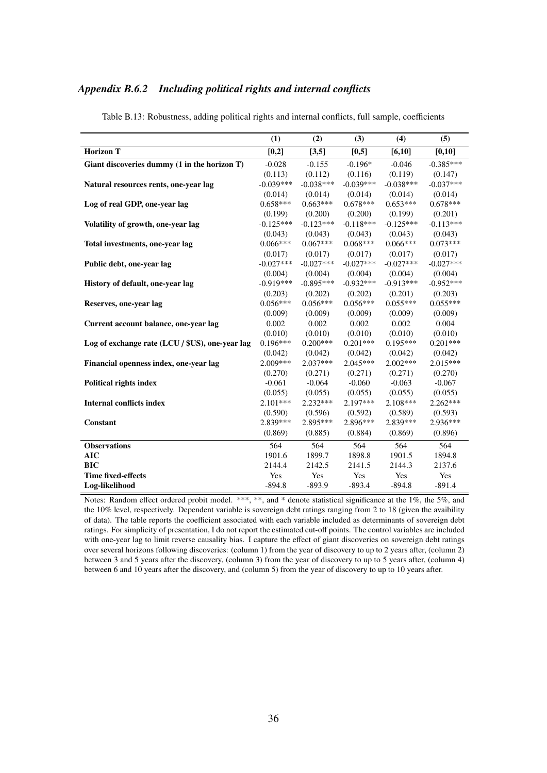#### <span id="page-35-0"></span>*Appendix B.6.2 Including political rights and internal conflicts*

|                                                 | (1)         | (2)         | (3)                                  | (4)         | (5)         |
|-------------------------------------------------|-------------|-------------|--------------------------------------|-------------|-------------|
| <b>Horizon T</b>                                | [0,2]       | [3,5]       | [0, 5]                               | [6,10]      | [0,10]      |
| Giant discoveries dummy (1 in the horizon T)    | $-0.028$    | $-0.155$    | $-0.196*$                            | $-0.046$    | $-0.385***$ |
|                                                 | (0.113)     | (0.112)     | (0.116)                              | (0.119)     | (0.147)     |
| Natural resources rents, one-year lag           | $-0.039***$ | $-0.038***$ | $-0.039***$                          | $-0.038***$ | $-0.037***$ |
|                                                 | (0.014)     | (0.014)     | (0.014)                              | (0.014)     | (0.014)     |
| Log of real GDP, one-year lag                   | $0.658***$  | $0.663***$  | $0.678***$                           | $0.653***$  | $0.678***$  |
|                                                 | (0.199)     | (0.200)     | (0.200)                              | (0.199)     | (0.201)     |
| Volatility of growth, one-year lag              | $-0.125***$ | $-0.123***$ | $-0.118***$                          | $-0.125***$ | $-0.113***$ |
|                                                 | (0.043)     | (0.043)     | (0.043)                              | (0.043)     | (0.043)     |
| Total investments, one-year lag                 | $0.066***$  | $0.067***$  | $0.068***$                           | $0.066***$  | $0.073***$  |
|                                                 | (0.017)     | (0.017)     | (0.017)                              | (0.017)     | (0.017)     |
| Public debt, one-year lag                       | $-0.027***$ | $-0.027***$ | $-0.027***$                          | $-0.027***$ | $-0.027***$ |
|                                                 | (0.004)     | (0.004)     | (0.004)                              | (0.004)     | (0.004)     |
| History of default, one-year lag                | $-0.919***$ | $-0.895***$ | $-0.932***$                          | $-0.913***$ | $-0.952***$ |
|                                                 | (0.203)     | (0.202)     | (0.202)                              | (0.201)     | (0.203)     |
| Reserves, one-year lag                          | $0.056***$  | $0.056***$  | $0.056***$                           | $0.055***$  | $0.055***$  |
|                                                 | (0.009)     | (0.009)     | (0.009)                              | (0.009)     | (0.009)     |
| Current account balance, one-year lag           | 0.002       | 0.002       | 0.002<br>0.002<br>(0.010)<br>(0.010) |             | 0.004       |
|                                                 | (0.010)     | (0.010)     |                                      |             | (0.010)     |
| Log of exchange rate (LCU / \$US), one-year lag | $0.196***$  | $0.200***$  | $0.201***$                           | $0.195***$  | $0.201***$  |
|                                                 | (0.042)     | (0.042)     | (0.042)                              | (0.042)     | (0.042)     |
| Financial openness index, one-year lag          | $2.009***$  | $2.037***$  | $2.045***$                           | $2.002***$  | $2.015***$  |
|                                                 | (0.270)     | (0.271)     | (0.271)                              | (0.271)     | (0.270)     |
| <b>Political rights index</b>                   | $-0.061$    | $-0.064$    | $-0.060$                             | $-0.063$    | $-0.067$    |
|                                                 | (0.055)     | (0.055)     | (0.055)                              | (0.055)     | (0.055)     |
| <b>Internal conflicts index</b>                 | $2.101***$  | $2.232***$  | 2.197***                             | $2.108***$  | $2.262***$  |
|                                                 | (0.590)     | (0.596)     | (0.592)                              | (0.589)     | (0.593)     |
| Constant                                        | 2.839 ***   | 2.895***    | 2.896 ***                            | 2.839***    | $2.936***$  |
|                                                 | (0.869)     | (0.885)     | (0.884)                              | (0.869)     | (0.896)     |
| <b>Observations</b>                             | 564         | 564         | 564                                  | 564         | 564         |
| <b>AIC</b>                                      | 1901.6      | 1899.7      | 1898.8                               | 1901.5      | 1894.8      |
| <b>BIC</b>                                      | 2144.4      | 2142.5      | 2141.5                               | 2144.3      | 2137.6      |
| <b>Time fixed-effects</b>                       | Yes         | Yes         | Yes                                  | Yes         | Yes         |
| Log-likelihood                                  | $-894.8$    | $-893.9$    | $-893.4$                             | $-894.8$    | $-891.4$    |

Table B.13: Robustness, adding political rights and internal conflicts, full sample, coefficients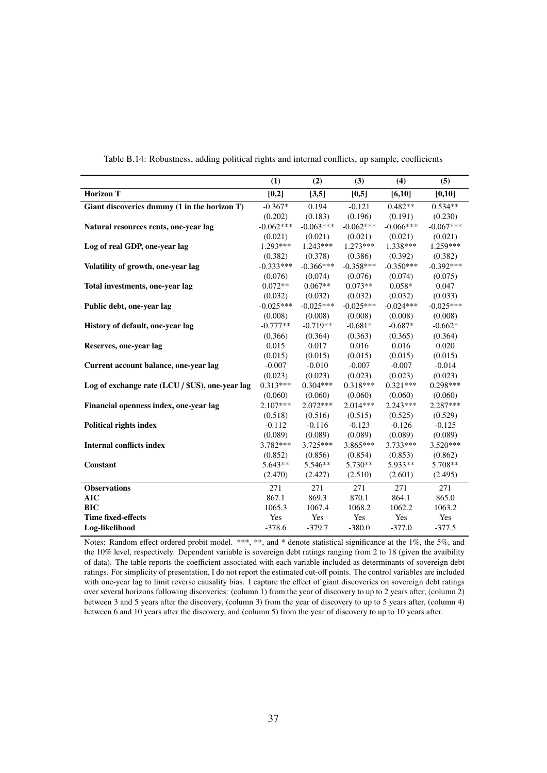|                                                 | (1)         | (2)         | (3)         | (4)         | (5)         |
|-------------------------------------------------|-------------|-------------|-------------|-------------|-------------|
| <b>Horizon T</b>                                | [0,2]       | [3,5]       | [0,5]       | [6,10]      | [0,10]      |
| Giant discoveries dummy (1 in the horizon T)    | $-0.367*$   | 0.194       | $-0.121$    | $0.482**$   | $0.534**$   |
|                                                 | (0.202)     | (0.183)     | (0.196)     | (0.191)     | (0.230)     |
| Natural resources rents, one-year lag           | $-0.062***$ | $-0.063***$ | $-0.062***$ | $-0.066***$ | $-0.067***$ |
|                                                 | (0.021)     | (0.021)     | (0.021)     | (0.021)     | (0.021)     |
| Log of real GDP, one-year lag                   | 1.293***    | $1.243***$  | $1.273***$  | 1.338***    | 1.259***    |
|                                                 | (0.382)     | (0.378)     | (0.386)     | (0.392)     | (0.382)     |
| Volatility of growth, one-year lag              | $-0.333***$ | $-0.366***$ | $-0.358***$ | $-0.350***$ | $-0.392***$ |
|                                                 | (0.076)     | (0.074)     | (0.076)     | (0.074)     | (0.075)     |
| Total investments, one-year lag                 | $0.072**$   | $0.067**$   | $0.073**$   | $0.058*$    | 0.047       |
|                                                 | (0.032)     | (0.032)     | (0.032)     | (0.032)     | (0.033)     |
| Public debt, one-year lag                       | $-0.025***$ | $-0.025***$ | $-0.025***$ | $-0.024***$ | $-0.025***$ |
|                                                 | (0.008)     | (0.008)     | (0.008)     | (0.008)     | (0.008)     |
| History of default, one-year lag                | $-0.777**$  | $-0.719**$  | $-0.681*$   | $-0.687*$   | $-0.662*$   |
|                                                 | (0.366)     | (0.364)     | (0.363)     | (0.365)     | (0.364)     |
| Reserves, one-year lag                          | 0.015       | 0.017       | 0.016       | 0.016       | 0.020       |
|                                                 | (0.015)     | (0.015)     | (0.015)     | (0.015)     | (0.015)     |
| Current account balance, one-year lag           | $-0.007$    | $-0.010$    | $-0.007$    | $-0.007$    | $-0.014$    |
|                                                 | (0.023)     | (0.023)     | (0.023)     | (0.023)     | (0.023)     |
| Log of exchange rate (LCU / \$US), one-year lag | $0.313***$  | $0.304***$  | $0.318***$  | $0.321***$  | $0.298***$  |
|                                                 | (0.060)     | (0.060)     | (0.060)     | (0.060)     | (0.060)     |
| Financial openness index, one-year lag          | $2.107***$  | $2.072***$  | $2.014***$  | $2.243***$  | 2.287***    |
|                                                 | (0.518)     | (0.516)     | (0.515)     | (0.525)     | (0.529)     |
| <b>Political rights index</b>                   | $-0.112$    | $-0.116$    | $-0.123$    | $-0.126$    | $-0.125$    |
|                                                 | (0.089)     | (0.089)     | (0.089)     | (0.089)     | (0.089)     |
| <b>Internal conflicts index</b>                 | 3.782 ***   | $3.725***$  | $3.865***$  | $3.733***$  | $3.520***$  |
|                                                 | (0.852)     | (0.856)     | (0.854)     | (0.853)     | (0.862)     |
| Constant                                        | $5.643**$   | $5.546**$   | $5.730**$   | $5.933**$   | 5.708**     |
|                                                 | (2.470)     | (2.427)     | (2.510)     | (2.601)     | (2.495)     |
| <b>Observations</b>                             | 271         | 271         | 271         | 271         | 271         |
| <b>AIC</b>                                      | 867.1       | 869.3       | 870.1       | 864.1       | 865.0       |
| <b>BIC</b>                                      | 1065.3      | 1067.4      | 1068.2      | 1062.2      | 1063.2      |
| <b>Time fixed-effects</b>                       | Yes         | Yes         | Yes         | Yes         | Yes         |
| Log-likelihood                                  | $-378.6$    | $-379.7$    | $-380.0$    | $-377.0$    | $-377.5$    |

Table B.14: Robustness, adding political rights and internal conflicts, up sample, coefficients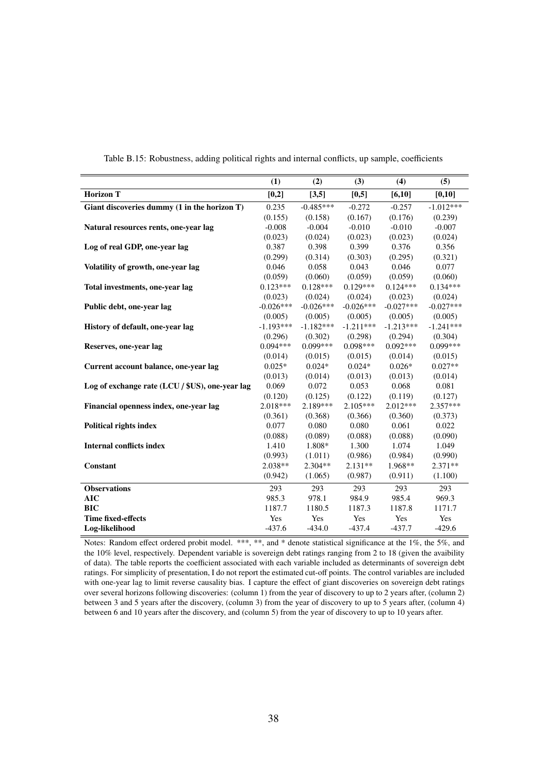<span id="page-37-0"></span>

|                                                 | (1)         | (2)         | (3)         | (4)         | (5)         |
|-------------------------------------------------|-------------|-------------|-------------|-------------|-------------|
| <b>Horizon T</b>                                | $[0,2]$     | [3,5]       | [0,5]       | [6,10]      | [0, 10]     |
| Giant discoveries dummy (1 in the horizon T)    | 0.235       | $-0.485***$ | $-0.272$    | $-0.257$    | $-1.012***$ |
|                                                 | (0.155)     | (0.158)     | (0.167)     | (0.176)     | (0.239)     |
| Natural resources rents, one-year lag           | $-0.008$    | $-0.004$    | $-0.010$    | $-0.010$    | $-0.007$    |
|                                                 | (0.023)     | (0.024)     | (0.023)     | (0.023)     | (0.024)     |
| Log of real GDP, one-year lag                   | 0.387       | 0.398       | 0.399       | 0.376       | 0.356       |
|                                                 | (0.299)     | (0.314)     | (0.303)     | (0.295)     | (0.321)     |
| Volatility of growth, one-year lag              | 0.046       | 0.058       | 0.043       | 0.046       | 0.077       |
|                                                 | (0.059)     | (0.060)     | (0.059)     | (0.059)     | (0.060)     |
| Total investments, one-year lag                 | $0.123***$  | $0.128***$  | $0.129***$  | $0.124***$  | $0.134***$  |
|                                                 | (0.023)     | (0.024)     | (0.024)     | (0.023)     | (0.024)     |
| Public debt, one-year lag                       | $-0.026***$ | $-0.026***$ | $-0.026***$ | $-0.027***$ | $-0.027***$ |
|                                                 | (0.005)     | (0.005)     | (0.005)     | (0.005)     | (0.005)     |
| History of default, one-year lag                | $-1.193***$ | $-1.182***$ | $-1.211***$ | $-1.213***$ | $-1.241***$ |
|                                                 | (0.296)     | (0.302)     | (0.298)     | (0.294)     | (0.304)     |
| Reserves, one-year lag                          | $0.094***$  | $0.099***$  | $0.098***$  | $0.092***$  | $0.099***$  |
|                                                 | (0.014)     | (0.015)     | (0.015)     | (0.014)     | (0.015)     |
| Current account balance, one-year lag           | $0.025*$    | $0.024*$    | $0.024*$    | $0.026*$    | $0.027**$   |
|                                                 | (0.013)     | (0.014)     | (0.013)     | (0.013)     | (0.014)     |
| Log of exchange rate (LCU / \$US), one-year lag | 0.069       | 0.072       | 0.053       | 0.068       | 0.081       |
|                                                 | (0.120)     | (0.125)     | (0.122)     | (0.119)     | (0.127)     |
| Financial openness index, one-year lag          | $2.018***$  | 2.189***    | $2.105***$  | $2.012***$  | $2.357***$  |
|                                                 | (0.361)     | (0.368)     | (0.366)     | (0.360)     | (0.373)     |
| <b>Political rights index</b>                   | 0.077       | 0.080       | 0.080       | 0.061       | 0.022       |
|                                                 | (0.088)     | (0.089)     | (0.088)     | (0.088)     | (0.090)     |
| <b>Internal conflicts index</b>                 | 1.410       | 1.808*      | 1.300       | 1.074       | 1.049       |
|                                                 | (0.993)     | (1.011)     | (0.986)     | (0.984)     | (0.990)     |
| Constant                                        | $2.038**$   | $2.304**$   | $2.131**$   | 1.968**     | $2.371**$   |
|                                                 | (0.942)     | (1.065)     | (0.987)     | (0.911)     | (1.100)     |
| <b>Observations</b>                             | 293         | 293         | 293         | 293         | 293         |
| <b>AIC</b>                                      | 985.3       | 978.1       | 984.9       | 985.4       | 969.3       |
| <b>BIC</b>                                      | 1187.7      | 1180.5      | 1187.3      | 1187.8      | 1171.7      |
| <b>Time fixed-effects</b>                       | Yes         | Yes         | Yes         | Yes         | Yes         |
| Log-likelihood                                  | $-437.6$    | $-434.0$    | $-437.4$    | $-437.7$    | $-429.6$    |

Table B.15: Robustness, adding political rights and internal conflicts, up sample, coefficients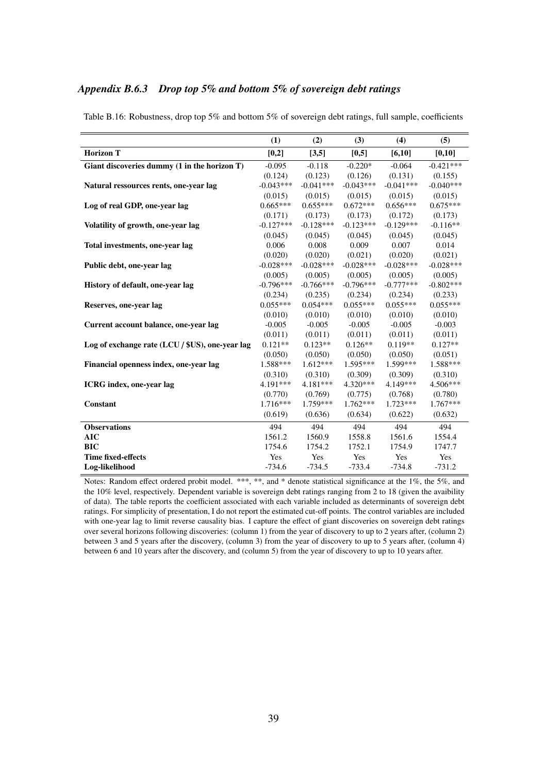#### *Appendix B.6.3 Drop top 5% and bottom 5% of sovereign debt ratings*

|                                                 | (1)         | (2)         | (3)         | (4)         | (5)         |
|-------------------------------------------------|-------------|-------------|-------------|-------------|-------------|
| <b>Horizon T</b>                                | [0,2]       | [3,5]       | [0,5]       | [6,10]      | [0,10]      |
| Giant discoveries dummy (1 in the horizon T)    | $-0.095$    | $-0.118$    | $-0.220*$   | $-0.064$    | $-0.421***$ |
|                                                 | (0.124)     | (0.123)     | (0.126)     | (0.131)     | (0.155)     |
| Natural ressources rents, one-year lag          | $-0.043***$ | $-0.041***$ | $-0.043***$ | $-0.041***$ | $-0.040***$ |
|                                                 | (0.015)     | (0.015)     | (0.015)     | (0.015)     | (0.015)     |
| Log of real GDP, one-year lag                   | $0.665***$  | $0.655***$  | $0.672***$  | $0.656***$  | $0.675***$  |
|                                                 | (0.171)     | (0.173)     | (0.173)     | (0.172)     | (0.173)     |
| Volatility of growth, one-year lag              | $-0.127***$ | $-0.128***$ | $-0.123***$ | $-0.129***$ | $-0.116**$  |
|                                                 | (0.045)     | (0.045)     | (0.045)     | (0.045)     | (0.045)     |
| Total investments, one-year lag                 | 0.006       | 0.008       | 0.009       | 0.007       | 0.014       |
|                                                 | (0.020)     | (0.020)     | (0.021)     | (0.020)     | (0.021)     |
| Public debt, one-year lag                       | $-0.028***$ | $-0.028***$ | $-0.028***$ | $-0.028***$ | $-0.028***$ |
|                                                 | (0.005)     | (0.005)     | (0.005)     | (0.005)     | (0.005)     |
| History of default, one-year lag                | $-0.796***$ | $-0.766***$ | $-0.796***$ | $-0.777***$ | $-0.802***$ |
|                                                 | (0.234)     | (0.235)     | (0.234)     | (0.234)     | (0.233)     |
| Reserves, one-year lag                          | $0.055***$  | $0.054***$  | $0.055***$  | $0.055***$  | $0.055***$  |
|                                                 | (0.010)     | (0.010)     | (0.010)     | (0.010)     | (0.010)     |
| Current account balance, one-year lag           | $-0.005$    | $-0.005$    | $-0.005$    | $-0.005$    | $-0.003$    |
|                                                 | (0.011)     | (0.011)     | (0.011)     | (0.011)     | (0.011)     |
| Log of exchange rate (LCU / \$US), one-year lag | $0.121**$   | $0.123**$   | $0.126**$   | $0.119**$   | $0.127**$   |
|                                                 | (0.050)     | (0.050)     | (0.050)     | (0.050)     | (0.051)     |
| Financial openness index, one-year lag          | 1.588***    | $1.612***$  | $1.595***$  | 1.599***    | 1.588***    |
|                                                 | (0.310)     | (0.310)     | (0.309)     | (0.309)     | (0.310)     |
| <b>ICRG</b> index, one-year lag                 | 4.191***    | 4.181***    | 4.320***    | 4.149***    | 4.506***    |
|                                                 | (0.770)     | (0.769)     | (0.775)     | (0.768)     | (0.780)     |
| Constant                                        | $1.716***$  | 1.759***    | $1.762***$  | $1.723***$  | $1.767***$  |
|                                                 | (0.619)     | (0.636)     | (0.634)     | (0.622)     | (0.632)     |
| <b>Observations</b>                             | 494         | 494         | 494         | 494         | 494         |
| <b>AIC</b>                                      | 1561.2      | 1560.9      | 1558.8      | 1561.6      | 1554.4      |
| <b>BIC</b>                                      | 1754.6      | 1754.2      | 1752.1      | 1754.9      | 1747.7      |
| <b>Time fixed-effects</b>                       | Yes         | Yes         | Yes         | Yes         | Yes         |
| Log-likelihood                                  | $-734.6$    | $-734.5$    | $-733.4$    | $-734.8$    | $-731.2$    |

<span id="page-38-0"></span>Table B.16: Robustness, drop top 5% and bottom 5% of sovereign debt ratings, full sample, coefficients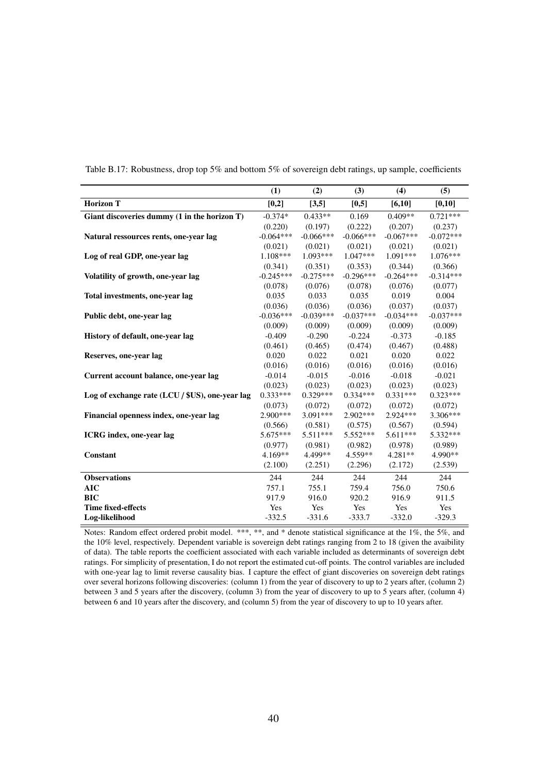|                                                 | (1)         | (2)         | (3)         | (4)         | (5)         |
|-------------------------------------------------|-------------|-------------|-------------|-------------|-------------|
| <b>Horizon T</b>                                | [0,2]       | [3,5]       | [0,5]       | [6,10]      | [0,10]      |
| Giant discoveries dummy (1 in the horizon T)    | $-0.374*$   | $0.433**$   | 0.169       | $0.409**$   | $0.721***$  |
|                                                 | (0.220)     | (0.197)     | (0.222)     | (0.207)     | (0.237)     |
| Natural ressources rents, one-year lag          | $-0.064***$ | $-0.066***$ | $-0.066***$ | $-0.067***$ | $-0.072***$ |
|                                                 | (0.021)     | (0.021)     | (0.021)     | (0.021)     | (0.021)     |
| Log of real GDP, one-year lag                   | 1.108***    | $1.093***$  | $1.047***$  | 1.091***    | $1.076***$  |
|                                                 | (0.341)     | (0.351)     | (0.353)     | (0.344)     | (0.366)     |
| Volatility of growth, one-year lag              | $-0.245***$ | $-0.275***$ | $-0.296***$ | $-0.264***$ | $-0.314***$ |
|                                                 | (0.078)     | (0.076)     | (0.078)     | (0.076)     | (0.077)     |
| Total investments, one-year lag                 | 0.035       | 0.033       | 0.035       | 0.019       | 0.004       |
|                                                 | (0.036)     | (0.036)     | (0.036)     | (0.037)     | (0.037)     |
| Public debt, one-year lag                       | $-0.036***$ | $-0.039***$ | $-0.037***$ | $-0.034***$ | $-0.037***$ |
|                                                 | (0.009)     | (0.009)     | (0.009)     | (0.009)     | (0.009)     |
| History of default, one-year lag                | $-0.409$    | $-0.290$    | $-0.224$    | $-0.373$    | $-0.185$    |
|                                                 | (0.461)     | (0.465)     | (0.474)     | (0.467)     | (0.488)     |
| Reserves, one-year lag                          | 0.020       | 0.022       | 0.021       | 0.020       | 0.022       |
|                                                 | (0.016)     | (0.016)     | (0.016)     | (0.016)     | (0.016)     |
| Current account balance, one-year lag           | $-0.014$    | $-0.015$    | $-0.016$    | $-0.018$    | $-0.021$    |
|                                                 | (0.023)     | (0.023)     | (0.023)     | (0.023)     | (0.023)     |
| Log of exchange rate (LCU / \$US), one-year lag | $0.333***$  | $0.329***$  | $0.334***$  | $0.331***$  | $0.323***$  |
|                                                 | (0.073)     | (0.072)     | (0.072)     | (0.072)     | (0.072)     |
| Financial openness index, one-year lag          | $2.900***$  | $3.091***$  | $2.902***$  | $2.924***$  | 3.306***    |
|                                                 | (0.566)     | (0.581)     | (0.575)     | (0.567)     | (0.594)     |
| <b>ICRG</b> index, one-year lag                 | $5.675***$  | 5.511***    | 5.552***    | $5.611***$  | 5.332***    |
|                                                 | (0.977)     | (0.981)     | (0.982)     | (0.978)     | (0.989)     |
| Constant                                        | $4.169**$   | 4.499**     | $4.559**$   | $4.281**$   | 4.990**     |
|                                                 | (2.100)     | (2.251)     | (2.296)     | (2.172)     | (2.539)     |
| <b>Observations</b>                             | 244         | 244         | 244         | 244         | 244         |
| <b>AIC</b>                                      | 757.1       | 755.1       | 759.4       | 756.0       | 750.6       |
| <b>BIC</b>                                      | 917.9       | 916.0       | 920.2       | 916.9       | 911.5       |
| <b>Time fixed-effects</b>                       | Yes         | Yes         | Yes         | Yes         | Yes         |
| Log-likelihood                                  | $-332.5$    | $-331.6$    | $-333.7$    | $-332.0$    | $-329.3$    |

Table B.17: Robustness, drop top 5% and bottom 5% of sovereign debt ratings, up sample, coefficients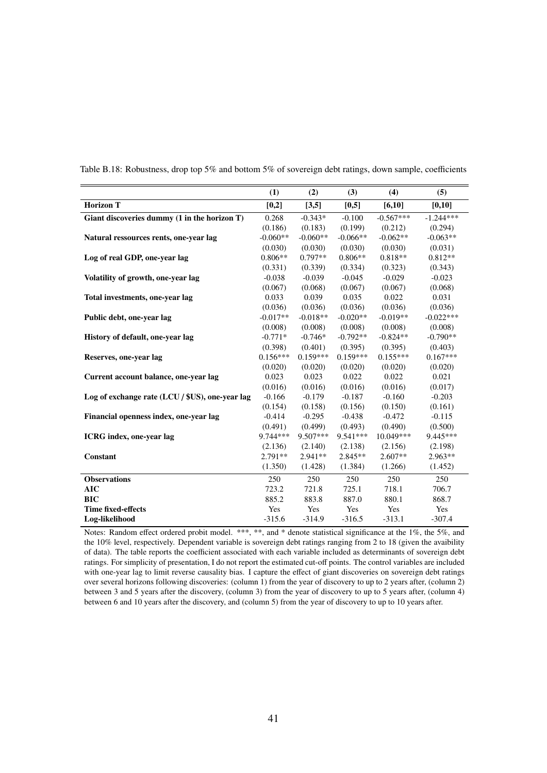|                                                 | (1)        | (2)        | (3)        | (4)         | (5)         |
|-------------------------------------------------|------------|------------|------------|-------------|-------------|
| <b>Horizon T</b>                                | [0,2]      | [3,5]      | [0,5]      | [6, 10]     | [0,10]      |
| Giant discoveries dummy (1 in the horizon T)    | 0.268      | $-0.343*$  | $-0.100$   | $-0.567***$ | $-1.244***$ |
|                                                 | (0.186)    | (0.183)    | (0.199)    | (0.212)     | (0.294)     |
| Natural ressources rents, one-year lag          | $-0.060**$ | $-0.060**$ | $-0.066**$ | $-0.062**$  | $-0.063**$  |
|                                                 | (0.030)    | (0.030)    | (0.030)    | (0.030)     | (0.031)     |
| Log of real GDP, one-year lag                   | $0.806**$  | $0.797**$  | $0.806**$  | $0.818**$   | $0.812**$   |
|                                                 | (0.331)    | (0.339)    | (0.334)    | (0.323)     | (0.343)     |
| Volatility of growth, one-year lag              | $-0.038$   | $-0.039$   | $-0.045$   | $-0.029$    | $-0.023$    |
|                                                 | (0.067)    | (0.068)    | (0.067)    | (0.067)     | (0.068)     |
| Total investments, one-year lag                 | 0.033      | 0.039      | 0.035      | 0.022       | 0.031       |
|                                                 | (0.036)    | (0.036)    | (0.036)    | (0.036)     | (0.036)     |
| Public debt, one-year lag                       | $-0.017**$ | $-0.018**$ | $-0.020**$ | $-0.019**$  | $-0.022***$ |
|                                                 | (0.008)    | (0.008)    | (0.008)    | (0.008)     | (0.008)     |
| History of default, one-year lag                | $-0.771*$  | $-0.746*$  | $-0.792**$ | $-0.824**$  | $-0.790**$  |
|                                                 | (0.398)    | (0.401)    | (0.395)    | (0.395)     | (0.403)     |
| Reserves, one-year lag                          | $0.156***$ | $0.159***$ | $0.159***$ | $0.155***$  | $0.167***$  |
|                                                 | (0.020)    | (0.020)    | (0.020)    | (0.020)     | (0.020)     |
| Current account balance, one-year lag           | 0.023      | 0.023      | 0.022      | 0.022       | 0.021       |
|                                                 | (0.016)    | (0.016)    | (0.016)    | (0.016)     | (0.017)     |
| Log of exchange rate (LCU / \$US), one-year lag | $-0.166$   | $-0.179$   | $-0.187$   | $-0.160$    | $-0.203$    |
|                                                 | (0.154)    | (0.158)    | (0.156)    | (0.150)     | (0.161)     |
| Financial openness index, one-year lag          | $-0.414$   | $-0.295$   | $-0.438$   | $-0.472$    | $-0.115$    |
|                                                 | (0.491)    | (0.499)    | (0.493)    | (0.490)     | (0.500)     |
| <b>ICRG</b> index, one-year lag                 | 9.744 ***  | 9.507***   | $9.541***$ | 10.049***   | 9.445***    |
|                                                 | (2.136)    | (2.140)    | (2.138)    | (2.156)     | (2.198)     |
| Constant                                        | $2.791**$  | $2.941**$  | $2.845**$  | $2.607**$   | $2.963**$   |
|                                                 | (1.350)    | (1.428)    | (1.384)    | (1.266)     | (1.452)     |
| <b>Observations</b>                             | 250        | 250        | 250        | 250         | 250         |
| <b>AIC</b>                                      | 723.2      | 721.8      | 725.1      | 718.1       | 706.7       |
| <b>BIC</b>                                      | 885.2      | 883.8      | 887.0      | 880.1       | 868.7       |
| <b>Time fixed-effects</b>                       | Yes        | Yes        | Yes        | Yes         | Yes         |
| Log-likelihood                                  | $-315.6$   | $-314.9$   | $-316.5$   | $-313.1$    | $-307.4$    |

<span id="page-40-0"></span>Table B.18: Robustness, drop top 5% and bottom 5% of sovereign debt ratings, down sample, coefficients